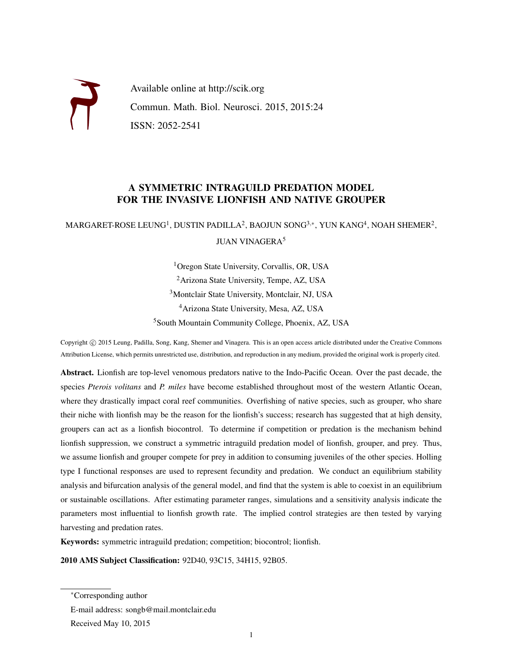

Available online at http://scik.org Commun. Math. Biol. Neurosci. 2015, 2015:24 ISSN: 2052-2541

#### A SYMMETRIC INTRAGUILD PREDATION MODEL FOR THE INVASIVE LIONFISH AND NATIVE GROUPER

 $\mathsf{MARGARET\text{-}ROSE}\ \mathsf{LEUNG}^1, \mathsf{DUSTIN}\ \mathsf{PADILLA}^2, \mathsf{BAOJUN}\ \mathsf{SONG}^{3,*}, \ \mathsf{YUN}\ \mathsf{KANG}^4, \mathsf{NOAH}\ \mathsf{SHEMER}^2,$ JUAN VINAGERA<sup>5</sup>

> <sup>1</sup>Oregon State University, Corvallis, OR, USA Arizona State University, Tempe, AZ, USA Montclair State University, Montclair, NJ, USA Arizona State University, Mesa, AZ, USA South Mountain Community College, Phoenix, AZ, USA

Copyright © 2015 Leung, Padilla, Song, Kang, Shemer and Vinagera. This is an open access article distributed under the Creative Commons Attribution License, which permits unrestricted use, distribution, and reproduction in any medium, provided the original work is properly cited.

Abstract. Lionfish are top-level venomous predators native to the Indo-Pacific Ocean. Over the past decade, the species *Pterois volitans* and *P. miles* have become established throughout most of the western Atlantic Ocean, where they drastically impact coral reef communities. Overfishing of native species, such as grouper, who share their niche with lionfish may be the reason for the lionfish's success; research has suggested that at high density, groupers can act as a lionfish biocontrol. To determine if competition or predation is the mechanism behind lionfish suppression, we construct a symmetric intraguild predation model of lionfish, grouper, and prey. Thus, we assume lionfish and grouper compete for prey in addition to consuming juveniles of the other species. Holling type I functional responses are used to represent fecundity and predation. We conduct an equilibrium stability analysis and bifurcation analysis of the general model, and find that the system is able to coexist in an equilibrium or sustainable oscillations. After estimating parameter ranges, simulations and a sensitivity analysis indicate the parameters most influential to lionfish growth rate. The implied control strategies are then tested by varying harvesting and predation rates.

Keywords: symmetric intraguild predation; competition; biocontrol; lionfish.

2010 AMS Subject Classification: 92D40, 93C15, 34H15, 92B05.

<sup>∗</sup>Corresponding author

E-mail address: songb@mail.montclair.edu

Received May 10, 2015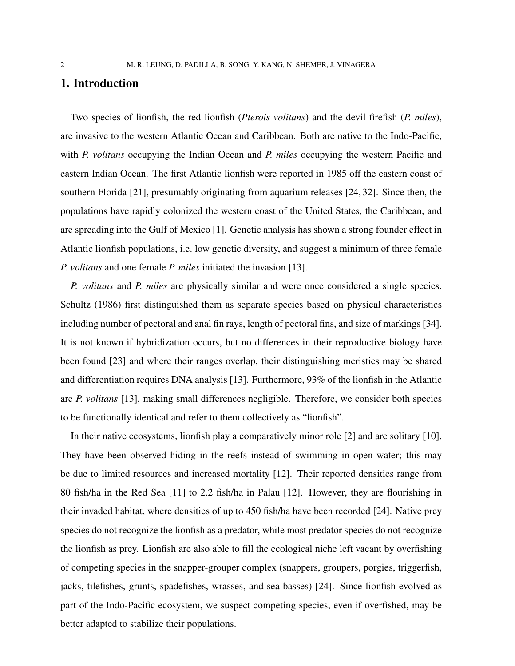#### 1. Introduction

Two species of lionfish, the red lionfish (*Pterois volitans*) and the devil firefish (*P. miles*), are invasive to the western Atlantic Ocean and Caribbean. Both are native to the Indo-Pacific, with *P. volitans* occupying the Indian Ocean and *P. miles* occupying the western Pacific and eastern Indian Ocean. The first Atlantic lionfish were reported in 1985 off the eastern coast of southern Florida [21], presumably originating from aquarium releases [24, 32]. Since then, the populations have rapidly colonized the western coast of the United States, the Caribbean, and are spreading into the Gulf of Mexico [1]. Genetic analysis has shown a strong founder effect in Atlantic lionfish populations, i.e. low genetic diversity, and suggest a minimum of three female *P. volitans* and one female *P. miles* initiated the invasion [13].

*P. volitans* and *P. miles* are physically similar and were once considered a single species. Schultz (1986) first distinguished them as separate species based on physical characteristics including number of pectoral and anal fin rays, length of pectoral fins, and size of markings [34]. It is not known if hybridization occurs, but no differences in their reproductive biology have been found [23] and where their ranges overlap, their distinguishing meristics may be shared and differentiation requires DNA analysis [13]. Furthermore, 93% of the lionfish in the Atlantic are *P. volitans* [13], making small differences negligible. Therefore, we consider both species to be functionally identical and refer to them collectively as "lionfish".

In their native ecosystems, lionfish play a comparatively minor role [2] and are solitary [10]. They have been observed hiding in the reefs instead of swimming in open water; this may be due to limited resources and increased mortality [12]. Their reported densities range from 80 fish/ha in the Red Sea [11] to 2.2 fish/ha in Palau [12]. However, they are flourishing in their invaded habitat, where densities of up to 450 fish/ha have been recorded [24]. Native prey species do not recognize the lionfish as a predator, while most predator species do not recognize the lionfish as prey. Lionfish are also able to fill the ecological niche left vacant by overfishing of competing species in the snapper-grouper complex (snappers, groupers, porgies, triggerfish, jacks, tilefishes, grunts, spadefishes, wrasses, and sea basses) [24]. Since lionfish evolved as part of the Indo-Pacific ecosystem, we suspect competing species, even if overfished, may be better adapted to stabilize their populations.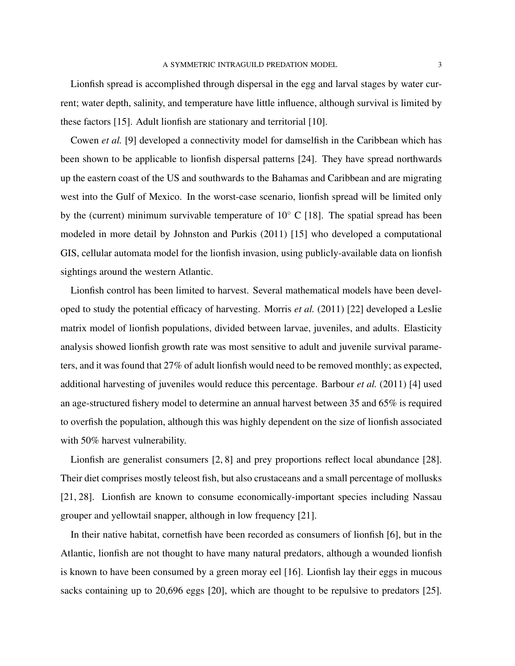Lionfish spread is accomplished through dispersal in the egg and larval stages by water current; water depth, salinity, and temperature have little influence, although survival is limited by these factors [15]. Adult lionfish are stationary and territorial [10].

Cowen *et al.* [9] developed a connectivity model for damselfish in the Caribbean which has been shown to be applicable to lionfish dispersal patterns [24]. They have spread northwards up the eastern coast of the US and southwards to the Bahamas and Caribbean and are migrating west into the Gulf of Mexico. In the worst-case scenario, lionfish spread will be limited only by the (current) minimum survivable temperature of  $10<sup>°</sup>$  C [18]. The spatial spread has been modeled in more detail by Johnston and Purkis (2011) [15] who developed a computational GIS, cellular automata model for the lionfish invasion, using publicly-available data on lionfish sightings around the western Atlantic.

Lionfish control has been limited to harvest. Several mathematical models have been developed to study the potential efficacy of harvesting. Morris *et al.* (2011) [22] developed a Leslie matrix model of lionfish populations, divided between larvae, juveniles, and adults. Elasticity analysis showed lionfish growth rate was most sensitive to adult and juvenile survival parameters, and it was found that 27% of adult lionfish would need to be removed monthly; as expected, additional harvesting of juveniles would reduce this percentage. Barbour *et al.* (2011) [4] used an age-structured fishery model to determine an annual harvest between 35 and 65% is required to overfish the population, although this was highly dependent on the size of lionfish associated with 50% harvest vulnerability.

Lionfish are generalist consumers [2, 8] and prey proportions reflect local abundance [28]. Their diet comprises mostly teleost fish, but also crustaceans and a small percentage of mollusks [21, 28]. Lionfish are known to consume economically-important species including Nassau grouper and yellowtail snapper, although in low frequency [21].

In their native habitat, cornetfish have been recorded as consumers of lionfish [6], but in the Atlantic, lionfish are not thought to have many natural predators, although a wounded lionfish is known to have been consumed by a green moray eel [16]. Lionfish lay their eggs in mucous sacks containing up to 20,696 eggs [20], which are thought to be repulsive to predators [25].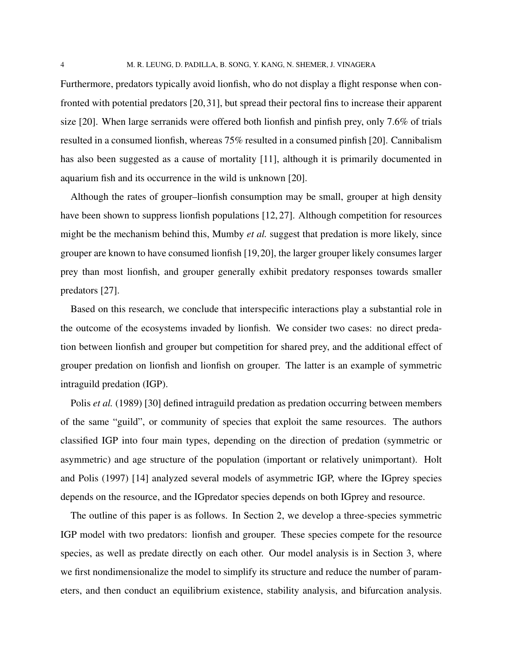Furthermore, predators typically avoid lionfish, who do not display a flight response when confronted with potential predators [20, 31], but spread their pectoral fins to increase their apparent size [20]. When large serranids were offered both lionfish and pinfish prey, only 7.6% of trials resulted in a consumed lionfish, whereas 75% resulted in a consumed pinfish [20]. Cannibalism has also been suggested as a cause of mortality [11], although it is primarily documented in aquarium fish and its occurrence in the wild is unknown [20].

Although the rates of grouper–lionfish consumption may be small, grouper at high density have been shown to suppress lionfish populations [12, 27]. Although competition for resources might be the mechanism behind this, Mumby *et al.* suggest that predation is more likely, since grouper are known to have consumed lionfish [19,20], the larger grouper likely consumes larger prey than most lionfish, and grouper generally exhibit predatory responses towards smaller predators [27].

Based on this research, we conclude that interspecific interactions play a substantial role in the outcome of the ecosystems invaded by lionfish. We consider two cases: no direct predation between lionfish and grouper but competition for shared prey, and the additional effect of grouper predation on lionfish and lionfish on grouper. The latter is an example of symmetric intraguild predation (IGP).

Polis *et al.* (1989) [30] defined intraguild predation as predation occurring between members of the same "guild", or community of species that exploit the same resources. The authors classified IGP into four main types, depending on the direction of predation (symmetric or asymmetric) and age structure of the population (important or relatively unimportant). Holt and Polis (1997) [14] analyzed several models of asymmetric IGP, where the IGprey species depends on the resource, and the IGpredator species depends on both IGprey and resource.

The outline of this paper is as follows. In Section 2, we develop a three-species symmetric IGP model with two predators: lionfish and grouper. These species compete for the resource species, as well as predate directly on each other. Our model analysis is in Section 3, where we first nondimensionalize the model to simplify its structure and reduce the number of parameters, and then conduct an equilibrium existence, stability analysis, and bifurcation analysis.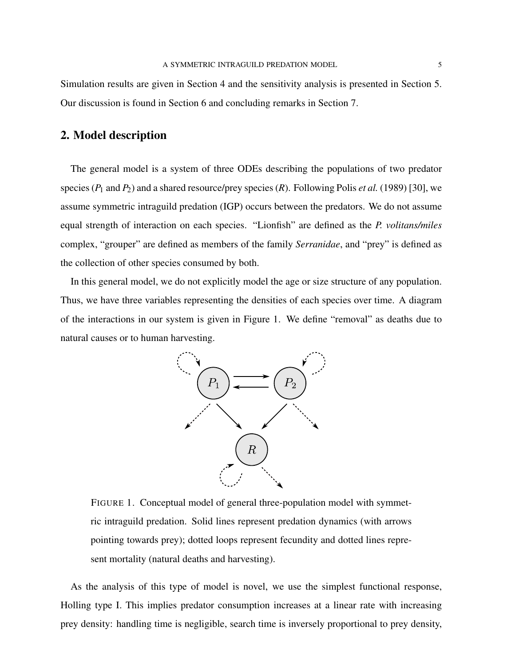Simulation results are given in Section 4 and the sensitivity analysis is presented in Section 5. Our discussion is found in Section 6 and concluding remarks in Section 7.

# 2. Model description

The general model is a system of three ODEs describing the populations of two predator species ( $P_1$  and  $P_2$ ) and a shared resource/prey species ( $R$ ). Following Polis *et al.* (1989) [30], we assume symmetric intraguild predation (IGP) occurs between the predators. We do not assume equal strength of interaction on each species. "Lionfish" are defined as the *P. volitans/miles* complex, "grouper" are defined as members of the family *Serranidae*, and "prey" is defined as the collection of other species consumed by both.

In this general model, we do not explicitly model the age or size structure of any population. Thus, we have three variables representing the densities of each species over time. A diagram of the interactions in our system is given in Figure 1. We define "removal" as deaths due to natural causes or to human harvesting.



FIGURE 1. Conceptual model of general three-population model with symmetric intraguild predation. Solid lines represent predation dynamics (with arrows pointing towards prey); dotted loops represent fecundity and dotted lines represent mortality (natural deaths and harvesting).

As the analysis of this type of model is novel, we use the simplest functional response, Holling type I. This implies predator consumption increases at a linear rate with increasing prey density: handling time is negligible, search time is inversely proportional to prey density,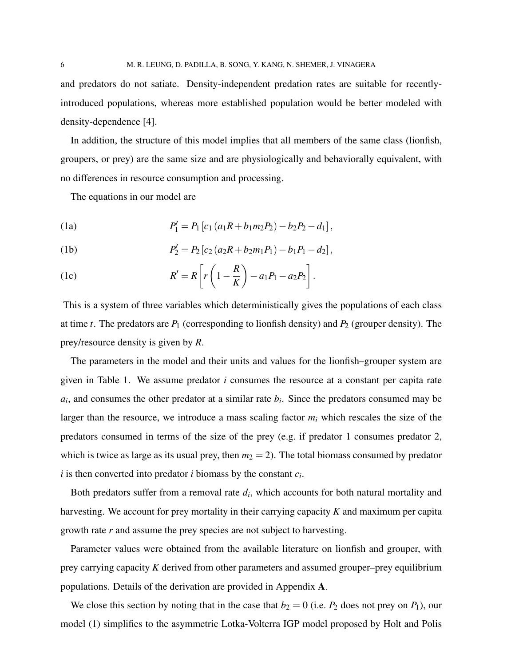and predators do not satiate. Density-independent predation rates are suitable for recentlyintroduced populations, whereas more established population would be better modeled with density-dependence [4].

In addition, the structure of this model implies that all members of the same class (lionfish, groupers, or prey) are the same size and are physiologically and behaviorally equivalent, with no differences in resource consumption and processing.

The equations in our model are

(1a) 
$$
P'_1 = P_1 [c_1 (a_1 R + b_1 m_2 P_2) - b_2 P_2 - d_1],
$$

(1b) 
$$
P_2' = P_2 [c_2 (a_2 R + b_2 m_1 P_1) - b_1 P_1 - d_2],
$$

(1c) 
$$
R' = R \left[ r \left( 1 - \frac{R}{K} \right) - a_1 P_1 - a_2 P_2 \right].
$$

This is a system of three variables which deterministically gives the populations of each class at time  $t$ . The predators are  $P_1$  (corresponding to lionfish density) and  $P_2$  (grouper density). The prey/resource density is given by *R*.

The parameters in the model and their units and values for the lionfish–grouper system are given in Table 1. We assume predator *i* consumes the resource at a constant per capita rate  $a_i$ , and consumes the other predator at a similar rate  $b_i$ . Since the predators consumed may be larger than the resource, we introduce a mass scaling factor  $m_i$  which rescales the size of the predators consumed in terms of the size of the prey (e.g. if predator 1 consumes predator 2, which is twice as large as its usual prey, then  $m_2 = 2$ ). The total biomass consumed by predator *i* is then converted into predator *i* biomass by the constant *c<sup>i</sup>* .

Both predators suffer from a removal rate *d<sup>i</sup>* , which accounts for both natural mortality and harvesting. We account for prey mortality in their carrying capacity *K* and maximum per capita growth rate *r* and assume the prey species are not subject to harvesting.

Parameter values were obtained from the available literature on lionfish and grouper, with prey carrying capacity *K* derived from other parameters and assumed grouper–prey equilibrium populations. Details of the derivation are provided in Appendix A.

We close this section by noting that in the case that  $b_2 = 0$  (i.e.  $P_2$  does not prey on  $P_1$ ), our model (1) simplifies to the asymmetric Lotka-Volterra IGP model proposed by Holt and Polis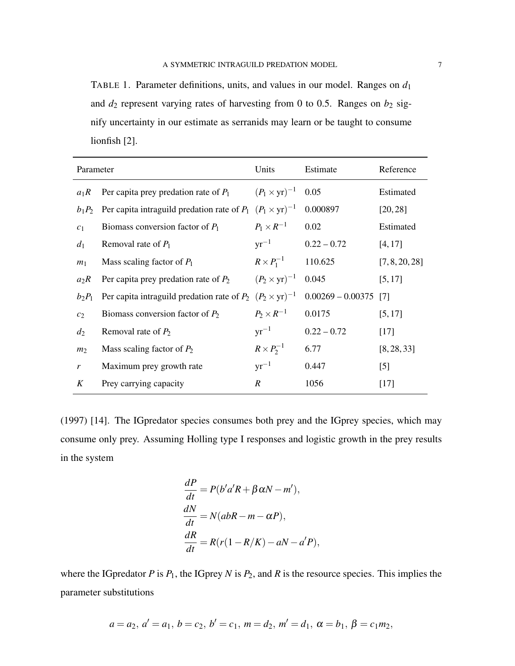TABLE 1. Parameter definitions, units, and values in our model. Ranges on  $d_1$ and  $d_2$  represent varying rates of harvesting from 0 to 0.5. Ranges on  $b_2$  signify uncertainty in our estimate as serranids may learn or be taught to consume lionfish [2].

| Parameter      |                                                                      | Units                         | Estimate                | Reference      |
|----------------|----------------------------------------------------------------------|-------------------------------|-------------------------|----------------|
| $a_1R$         | Per capita prey predation rate of $P_1$                              | $(P_1 \times yr)^{-1}$ 0.05   |                         | Estimated      |
| $b_1P_2$       | Per capita intraguild predation rate of $P_1$ $(P_1 \times yr)^{-1}$ |                               | 0.000897                | [20, 28]       |
| c <sub>1</sub> | Biomass conversion factor of $P_1$                                   | $P_1 \times R^{-1}$           | 0.02                    | Estimated      |
| $d_1$          | Removal rate of $P_1$                                                |                               | $yr^{-1}$ 0.22 - 0.72   | [4, 17]        |
| m <sub>1</sub> | Mass scaling factor of $P_1$                                         | $R \times P_1^{-1}$           | 110.625                 | [7, 8, 20, 28] |
| $a_2R$         | Per capita prey predation rate of $P_2$                              | $(P_2 \times \text{yr})^{-1}$ | 0.045                   | [5, 17]        |
| $b_2P_1$       | Per capita intraguild predation rate of $P_2$ $(P_2 \times yr)^{-1}$ |                               | $0.00269 - 0.00375$ [7] |                |
| c <sub>2</sub> | Biomass conversion factor of $P_2$                                   | $P_2 \times R^{-1}$           | 0.0175                  | [5, 17]        |
| $d_2$          | Removal rate of $P_2$                                                | $yr^{-1}$                     | $0.22 - 0.72$           | $[17]$         |
| m <sub>2</sub> | Mass scaling factor of $P_2$                                         | $R \times P_2^{-1}$           | 6.77                    | [8, 28, 33]    |
| $\mathfrak{r}$ | Maximum prey growth rate                                             | $yr^{-1}$                     | 0.447                   | $[5]$          |
| K              | Prey carrying capacity                                               | $\mathbb{R}^+$                | 1056                    | $[17]$         |

(1997) [14]. The IGpredator species consumes both prey and the IGprey species, which may consume only prey. Assuming Holling type I responses and logistic growth in the prey results in the system

$$
\frac{dP}{dt} = P(b'a'R + \beta \alpha N - m'),
$$
  
\n
$$
\frac{dN}{dt} = N(abR - m - \alpha P),
$$
  
\n
$$
\frac{dR}{dt} = R(r(1 - R/K) - aN - a'P),
$$

where the IGpredator  $P$  is  $P_1$ , the IGprey  $N$  is  $P_2$ , and  $R$  is the resource species. This implies the parameter substitutions

$$
a = a_2, a' = a_1, b = c_2, b' = c_1, m = d_2, m' = d_1, \alpha = b_1, \beta = c_1 m_2,
$$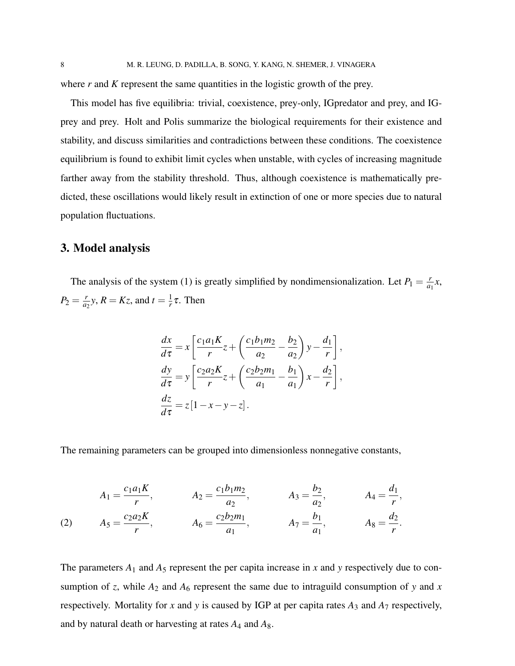where *r* and *K* represent the same quantities in the logistic growth of the prey.

This model has five equilibria: trivial, coexistence, prey-only, IGpredator and prey, and IGprey and prey. Holt and Polis summarize the biological requirements for their existence and stability, and discuss similarities and contradictions between these conditions. The coexistence equilibrium is found to exhibit limit cycles when unstable, with cycles of increasing magnitude farther away from the stability threshold. Thus, although coexistence is mathematically predicted, these oscillations would likely result in extinction of one or more species due to natural population fluctuations.

## 3. Model analysis

The analysis of the system (1) is greatly simplified by nondimensionalization. Let  $P_1 = \frac{r}{a}$  $\frac{r}{a_1}x$ ,  $P_2 = \frac{r}{a}$  $\frac{r}{a_2}$ y, *R* = *Kz*, and *t* =  $\frac{1}{r}$  $\frac{1}{r}$ τ. Then

$$
\frac{dx}{d\tau} = x \left[ \frac{c_1 a_1 K}{r} z + \left( \frac{c_1 b_1 m_2}{a_2} - \frac{b_2}{a_2} \right) y - \frac{d_1}{r} \right],
$$
  
\n
$$
\frac{dy}{d\tau} = y \left[ \frac{c_2 a_2 K}{r} z + \left( \frac{c_2 b_2 m_1}{a_1} - \frac{b_1}{a_1} \right) x - \frac{d_2}{r} \right],
$$
  
\n
$$
\frac{dz}{d\tau} = z [1 - x - y - z].
$$

The remaining parameters can be grouped into dimensionless nonnegative constants,

(2) 
$$
A_1 = \frac{c_1 a_1 K}{r}
$$
,  $A_2 = \frac{c_1 b_1 m_2}{a_2}$ ,  $A_3 = \frac{b_2}{a_2}$ ,  $A_4 = \frac{d_1}{r}$ ,  
\n $A_5 = \frac{c_2 a_2 K}{r}$ ,  $A_6 = \frac{c_2 b_2 m_1}{a_1}$ ,  $A_7 = \frac{b_1}{a_1}$ ,  $A_8 = \frac{d_2}{r}$ .

The parameters  $A_1$  and  $A_5$  represent the per capita increase in x and y respectively due to consumption of *z*, while  $A_2$  and  $A_6$  represent the same due to intraguild consumption of *y* and *x* respectively. Mortality for  $x$  and  $y$  is caused by IGP at per capita rates  $A_3$  and  $A_7$  respectively, and by natural death or harvesting at rates *A*<sup>4</sup> and *A*8.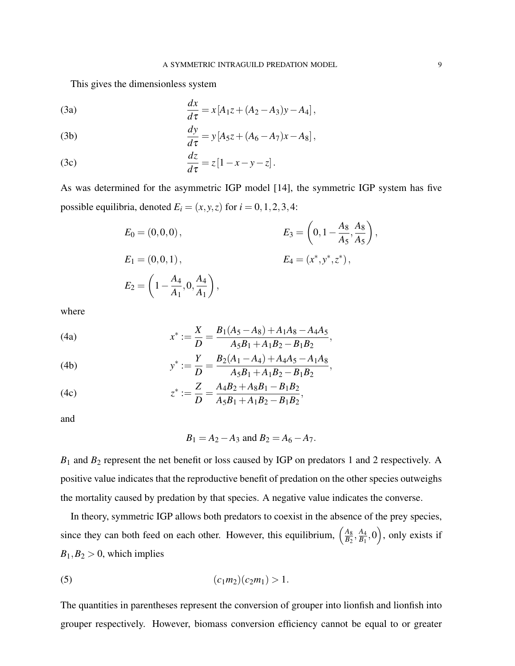This gives the dimensionless system

(3a) 
$$
\frac{dx}{d\tau} = x[A_1z + (A_2 - A_3)y - A_4],
$$

(3b) 
$$
\frac{dy}{d\tau} = y[A_5z + (A_6 - A_7)x - A_8],
$$

(3c) 
$$
\frac{dz}{d\tau} = z[1-x-y-z].
$$

As was determined for the asymmetric IGP model [14], the symmetric IGP system has five possible equilibria, denoted  $E_i = (x, y, z)$  for  $i = 0, 1, 2, 3, 4$ :

$$
E_0 = (0,0,0),
$$
  
\n
$$
E_1 = (0,0,1),
$$
  
\n
$$
E_2 = \left(1 - \frac{A_4}{A_1}, 0, \frac{A_4}{A_1}\right),
$$
  
\n
$$
E_3 = \left(0, 1 - \frac{A_8}{A_5}, \frac{A_8}{A_5}\right),
$$
  
\n
$$
E_4 = (x^*, y^*, z^*),
$$

where

(4a) 
$$
x^* := \frac{X}{D} = \frac{B_1(A_5 - A_8) + A_1A_8 - A_4A_5}{A_5B_1 + A_1B_2 - B_1B_2},
$$

(4b) 
$$
y^* := \frac{Y}{D} = \frac{B_2(A_1 - A_4) + A_4A_5 - A_1A_8}{A_5B_1 + A_1B_2 - B_1B_2},
$$

(4c) 
$$
z^* := \frac{Z}{D} = \frac{A_4B_2 + A_8B_1 - B_1B_2}{A_5B_1 + A_1B_2 - B_1B_2},
$$

and

$$
B_1 = A_2 - A_3
$$
 and  $B_2 = A_6 - A_7$ .

*B*<sup>1</sup> and *B*<sup>2</sup> represent the net benefit or loss caused by IGP on predators 1 and 2 respectively. A positive value indicates that the reproductive benefit of predation on the other species outweighs the mortality caused by predation by that species. A negative value indicates the converse.

In theory, symmetric IGP allows both predators to coexist in the absence of the prey species, since they can both feed on each other. However, this equilibrium,  $\left(\frac{A_8}{B_2}\right)$  $\frac{A_8}{B_2}, \frac{A_4}{B_1}$  $\left(\frac{A_4}{B_1},0\right)$ , only exists if  $B_1, B_2 > 0$ , which implies

(5) 
$$
(c_1m_2)(c_2m_1) > 1.
$$

The quantities in parentheses represent the conversion of grouper into lionfish and lionfish into grouper respectively. However, biomass conversion efficiency cannot be equal to or greater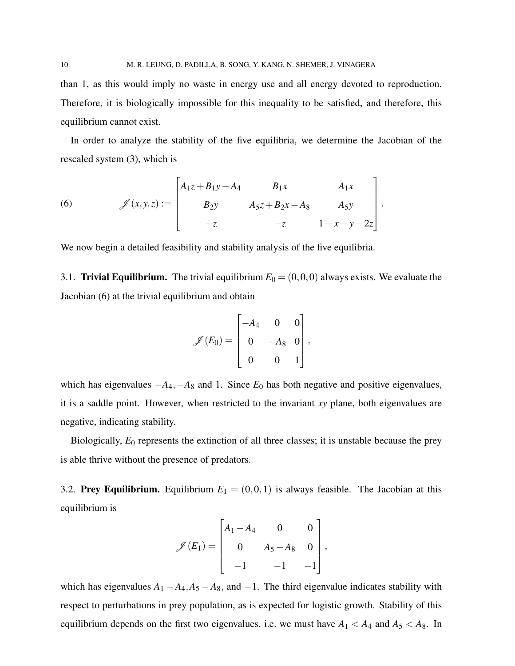than 1, as this would imply no waste in energy use and all energy devoted to reproduction. Therefore, it is biologically impossible for this inequality to be satisfied, and therefore, this equilibrium cannot exist.

In order to analyze the stability of the five equilibria, we determine the Jacobian of the rescaled system (3), which is

(6) 
$$
\mathscr{J}(x,y,z) := \begin{bmatrix} A_1z + B_1y - A_4 & B_1x & A_1x \\ B_2y & A_5z + B_2x - A_8 & A_5y \\ -z & -z & 1 - x - y - 2z \end{bmatrix}.
$$

We now begin a detailed feasibility and stability analysis of the five equilibria.

3.1. **Trivial Equilibrium.** The trivial equilibrium  $E_0 = (0,0,0)$  always exists. We evaluate the Jacobian (6) at the trivial equilibrium and obtain

$$
\mathscr{J}(E_0) = \begin{bmatrix} -A_4 & 0 & 0 \\ 0 & -A_8 & 0 \\ 0 & 0 & 1 \end{bmatrix},
$$

which has eigenvalues  $-A_4$ ,  $-A_8$  and 1. Since  $E_0$  has both negative and positive eigenvalues, it is a saddle point. However, when restricted to the invariant *xy* plane, both eigenvalues are negative, indicating stability.

Biologically, *E*<sup>0</sup> represents the extinction of all three classes; it is unstable because the prey is able thrive without the presence of predators.

3.2. **Prey Equilibrium.** Equilibrium  $E_1 = (0,0,1)$  is always feasible. The Jacobian at this equilibrium is

$$
\mathscr{J}(E_1) = \begin{bmatrix} A_1 - A_4 & 0 & 0 \\ 0 & A_5 - A_8 & 0 \\ -1 & -1 & -1 \end{bmatrix},
$$

which has eigenvalues  $A_1 - A_4$ ,  $A_5 - A_8$ , and  $-1$ . The third eigenvalue indicates stability with respect to perturbations in prey population, as is expected for logistic growth. Stability of this equilibrium depends on the first two eigenvalues, i.e. we must have  $A_1 < A_4$  and  $A_5 < A_8$ . In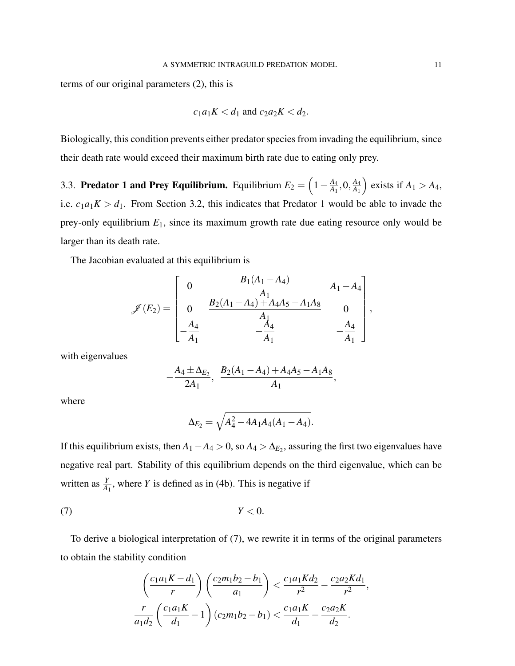terms of our original parameters (2), this is

$$
c_1a_1K < d_1 \text{ and } c_2a_2K < d_2.
$$

Biologically, this condition prevents either predator species from invading the equilibrium, since their death rate would exceed their maximum birth rate due to eating only prey.

3.3. **Predator 1 and Prey Equilibrium.** Equilibrium  $E_2 = \left(1 - \frac{A_4}{A_1}\right)$  $\frac{A_4}{A_1}, 0, \frac{A_4}{A_1}$ *A*1  $\Big)$  exists if  $A_1 > A_4$ , i.e.  $c_1a_1K > d_1$ . From Section 3.2, this indicates that Predator 1 would be able to invade the prey-only equilibrium *E*1, since its maximum growth rate due eating resource only would be larger than its death rate.

The Jacobian evaluated at this equilibrium is

$$
\mathscr{J}(E_2) = \begin{bmatrix} 0 & \frac{B_1(A_1 - A_4)}{A_1} & A_1 - A_4 \\ 0 & \frac{B_2(A_1 - A_4) + A_4A_5 - A_1A_8}{A_1} & 0 \\ -\frac{A_4}{A_1} & -\frac{A_4}{A_1} & -\frac{A_4}{A_1} \end{bmatrix},
$$

with eigenvalues

$$
-\frac{A_4 \pm \Delta_{E_2}}{2A_1}, \frac{B_2(A_1 - A_4) + A_4A_5 - A_1A_8}{A_1},
$$

where

$$
\Delta_{E_2} = \sqrt{A_4^2 - 4A_1A_4(A_1 - A_4)}.
$$

If this equilibrium exists, then  $A_1 - A_4 > 0$ , so  $A_4 > \Delta_{E_2}$ , assuring the first two eigenvalues have negative real part. Stability of this equilibrium depends on the third eigenvalue, which can be written as  $\frac{Y}{A_1}$ , where *Y* is defined as in (4b). This is negative if

$$
(7) \t\t Y < 0.
$$

To derive a biological interpretation of (7), we rewrite it in terms of the original parameters to obtain the stability condition

$$
\left(\frac{c_1a_1K-d_1}{r}\right)\left(\frac{c_2m_1b_2-b_1}{a_1}\right) < \frac{c_1a_1Kd_2}{r^2} - \frac{c_2a_2Kd_1}{r^2},
$$
\n
$$
\frac{r}{a_1d_2}\left(\frac{c_1a_1K}{d_1} - 1\right)(c_2m_1b_2 - b_1) < \frac{c_1a_1K}{d_1} - \frac{c_2a_2K}{d_2}.
$$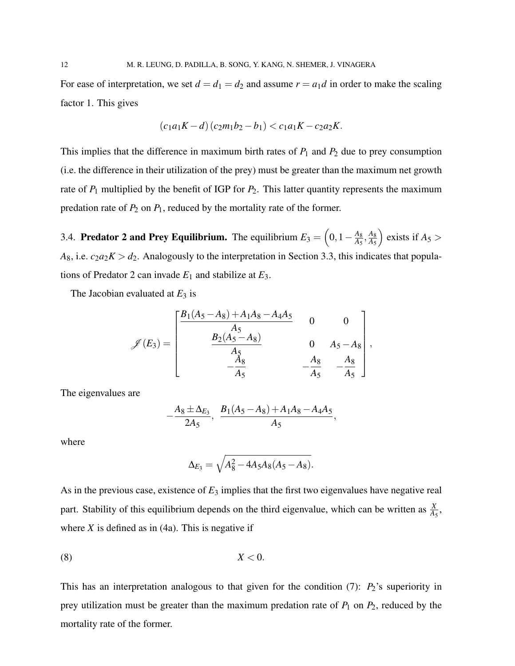For ease of interpretation, we set  $d = d_1 = d_2$  and assume  $r = a_1 d$  in order to make the scaling factor 1. This gives

$$
(c_1a_1K-d)(c_2m_1b_2-b_1) < c_1a_1K - c_2a_2K.
$$

This implies that the difference in maximum birth rates of  $P_1$  and  $P_2$  due to prey consumption (i.e. the difference in their utilization of the prey) must be greater than the maximum net growth rate of  $P_1$  multiplied by the benefit of IGP for  $P_2$ . This latter quantity represents the maximum predation rate of  $P_2$  on  $P_1$ , reduced by the mortality rate of the former.

3.4. **Predator 2 and Prey Equilibrium.** The equilibrium  $E_3 = \left(0, 1 - \frac{A_8}{A_5}\right)$  $\frac{A_8}{A_5}, \frac{A_8}{A_5}$ *A*5  $\Big)$  exists if  $A_5$  >  $A_8$ , i.e.  $c_2a_2K > d_2$ . Analogously to the interpretation in Section 3.3, this indicates that populations of Predator 2 can invade  $E_1$  and stabilize at  $E_3$ .

The Jacobian evaluated at  $E_3$  is

$$
\mathscr{J}(E_3) = \begin{bmatrix} \frac{B_1(A_5 - A_8) + A_1A_8 - A_4A_5}{A_5} & 0 & 0 \\ \frac{B_2(A_5 - A_8)}{A_5} & 0 & A_5 - A_8 \\ -\frac{A_8}{A_5} & -\frac{A_8}{A_5} & -\frac{A_8}{A_5} \end{bmatrix},
$$

The eigenvalues are

$$
-\frac{A_8 \pm \Delta_{E_3}}{2A_5}, \frac{B_1(A_5-A_8)+A_1A_8-A_4A_5}{A_5},
$$

where

$$
\Delta_{E_3} = \sqrt{A_8^2 - 4A_5A_8(A_5 - A_8)}.
$$

As in the previous case, existence of *E*<sup>3</sup> implies that the first two eigenvalues have negative real part. Stability of this equilibrium depends on the third eigenvalue, which can be written as  $\frac{X}{A_5}$ , where  $X$  is defined as in (4a). This is negative if

$$
(8) \t\t X < 0.
$$

This has an interpretation analogous to that given for the condition  $(7)$ :  $P_2$ 's superiority in prey utilization must be greater than the maximum predation rate of  $P_1$  on  $P_2$ , reduced by the mortality rate of the former.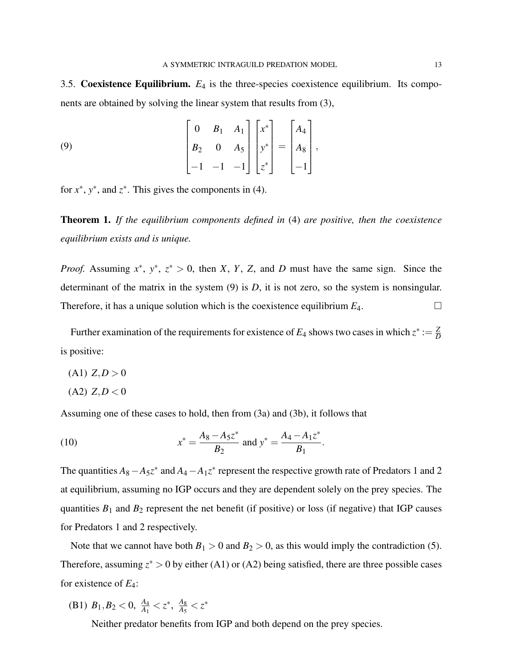3.5. Coexistence Equilibrium. *E*<sup>4</sup> is the three-species coexistence equilibrium. Its components are obtained by solving the linear system that results from (3),

(9) 
$$
\begin{bmatrix} 0 & B_1 & A_1 \ B_2 & 0 & A_5 \ -1 & -1 & -1 \end{bmatrix} \begin{bmatrix} x^* \ y^* \ z^* \end{bmatrix} = \begin{bmatrix} A_4 \ A_8 \ -1 \end{bmatrix},
$$

for  $x^*$ ,  $y^*$ , and  $z^*$ . This gives the components in (4).

Theorem 1. *If the equilibrium components defined in* (4) *are positive, then the coexistence equilibrium exists and is unique.*

*Proof.* Assuming  $x^*$ ,  $y^*$ ,  $z^* > 0$ , then *X*, *Y*, *Z*, and *D* must have the same sign. Since the determinant of the matrix in the system (9) is *D*, it is not zero, so the system is nonsingular. Therefore, it has a unique solution which is the coexistence equilibrium  $E_4$ .

Further examination of the requirements for existence of  $E_4$  shows two cases in which  $z^* := \frac{Z}{D}$ *D* is positive:

- $(A1)$   $Z, D > 0$
- $(A2)$   $Z, D < 0$

Assuming one of these cases to hold, then from (3a) and (3b), it follows that

(10) 
$$
x^* = \frac{A_8 - A_5 z^*}{B_2} \text{ and } y^* = \frac{A_4 - A_1 z^*}{B_1}.
$$

The quantities  $A_8 - A_5 z^*$  and  $A_4 - A_1 z^*$  represent the respective growth rate of Predators 1 and 2 at equilibrium, assuming no IGP occurs and they are dependent solely on the prey species. The quantities  $B_1$  and  $B_2$  represent the net benefit (if positive) or loss (if negative) that IGP causes for Predators 1 and 2 respectively.

Note that we cannot have both  $B_1 > 0$  and  $B_2 > 0$ , as this would imply the contradiction (5). Therefore, assuming  $z^* > 0$  by either (A1) or (A2) being satisfied, there are three possible cases for existence of *E*4:

(B1)  $B_1, B_2 < 0$ ,  $\frac{A_4}{A_1} < z^*$ ,  $\frac{A_8}{A_5}$  $\frac{A_8}{A_5} < z^*$ 

Neither predator benefits from IGP and both depend on the prey species.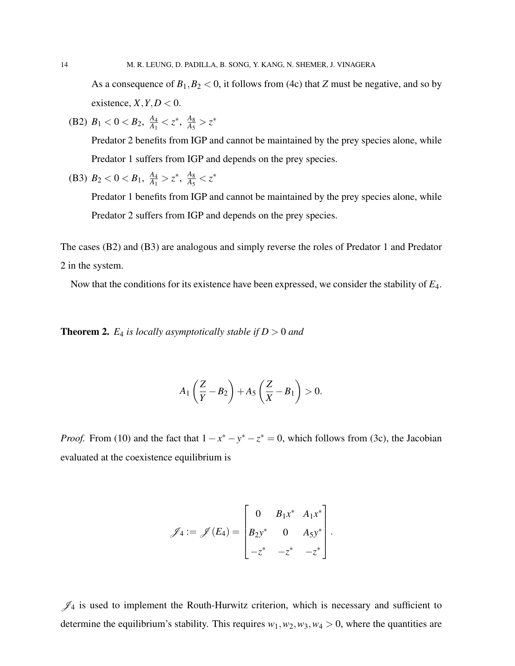As a consequence of  $B_1, B_2 < 0$ , it follows from (4c) that *Z* must be negative, and so by existence,  $X, Y, D < 0$ .

(B2)  $B_1 < 0 < B_2$ ,  $\frac{A_4}{A_1}$  $\frac{A_4}{A_1}$  < z<sup>\*</sup>,  $\frac{A_8}{A_5}$  $\frac{A_8}{A_5} > z^*$ 

> Predator 2 benefits from IGP and cannot be maintained by the prey species alone, while Predator 1 suffers from IGP and depends on the prey species.

(B3) 
$$
B_2 < 0 < B_1
$$
,  $\frac{A_4}{A_1} > z^*$ ,  $\frac{A_8}{A_5} < z^*$ 

Predator 1 benefits from IGP and cannot be maintained by the prey species alone, while Predator 2 suffers from IGP and depends on the prey species.

The cases (B2) and (B3) are analogous and simply reverse the roles of Predator 1 and Predator 2 in the system.

Now that the conditions for its existence have been expressed, we consider the stability of *E*4.

**Theorem 2.**  $E_4$  is locally asymptotically stable if  $D > 0$  and

$$
A_1\left(\frac{Z}{Y}-B_2\right)+A_5\left(\frac{Z}{X}-B_1\right)>0.
$$

*Proof.* From (10) and the fact that  $1 - x^* - y^* - z^* = 0$ , which follows from (3c), the Jacobian evaluated at the coexistence equilibrium is

$$
\mathscr{J}_4 := \mathscr{J}(E_4) = \begin{bmatrix} 0 & B_1 x^* & A_1 x^* \\ B_2 y^* & 0 & A_5 y^* \\ -z^* & -z^* & -z^* \end{bmatrix}.
$$

 $\mathscr{J}_4$  is used to implement the Routh-Hurwitz criterion, which is necessary and sufficient to determine the equilibrium's stability. This requires  $w_1, w_2, w_3, w_4 > 0$ , where the quantities are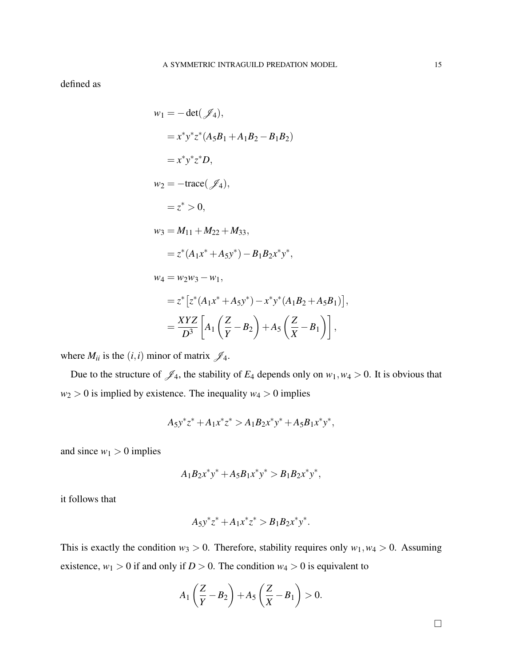defined as

$$
w_1 = -\det(\mathcal{J}_4),
$$
  
\n
$$
= x^* y^* z^* (A_5 B_1 + A_1 B_2 - B_1 B_2)
$$
  
\n
$$
= x^* y^* z^* D,
$$
  
\n
$$
w_2 = -\text{trace}(\mathcal{J}_4),
$$
  
\n
$$
= z^* > 0,
$$
  
\n
$$
w_3 = M_{11} + M_{22} + M_{33},
$$
  
\n
$$
= z^* (A_1 x^* + A_5 y^*) - B_1 B_2 x^* y^*,
$$
  
\n
$$
w_4 = w_2 w_3 - w_1,
$$
  
\n
$$
= z^* [z^* (A_1 x^* + A_5 y^*) - x^* y^* (A_1 B_2 + A_5 B_1)],
$$
  
\n
$$
= \frac{XYZ}{D^3} [A_1 (\frac{Z}{Y} - B_2) + A_5 (\frac{Z}{X} - B_1)],
$$

where  $M_{ii}$  is the  $(i, i)$  minor of matrix  $\mathcal{J}_4$ .

Due to the structure of  $\mathscr{J}_4$ , the stability of  $E_4$  depends only on  $w_1, w_4 > 0$ . It is obvious that  $w_2 > 0$  is implied by existence. The inequality  $w_4 > 0$  implies

$$
A_5 y^* z^* + A_1 x^* z^* > A_1 B_2 x^* y^* + A_5 B_1 x^* y^*,
$$

and since  $w_1 > 0$  implies

$$
A_1B_2x^*y^* + A_5B_1x^*y^* > B_1B_2x^*y^*,
$$

it follows that

$$
A_5y^*z^* + A_1x^*z^* > B_1B_2x^*y^*.
$$

This is exactly the condition  $w_3 > 0$ . Therefore, stability requires only  $w_1, w_4 > 0$ . Assuming existence,  $w_1 > 0$  if and only if  $D > 0$ . The condition  $w_4 > 0$  is equivalent to

$$
A_1\left(\frac{Z}{Y}-B_2\right)+A_5\left(\frac{Z}{X}-B_1\right)>0.
$$

 $\Box$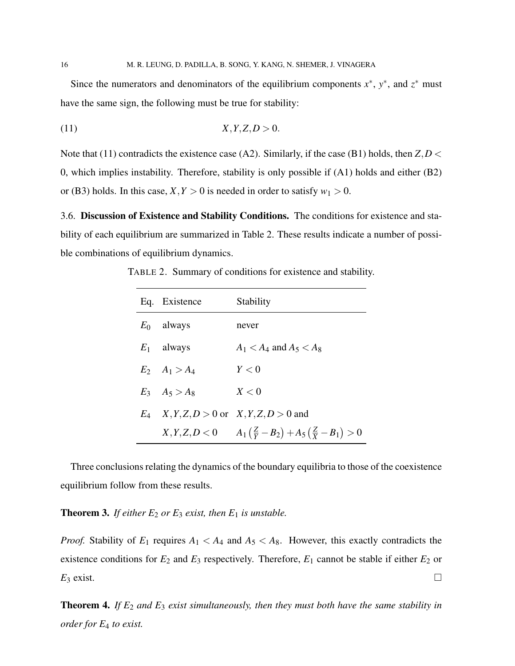Since the numerators and denominators of the equilibrium components  $x^*$ ,  $y^*$ , and  $z^*$  must have the same sign, the following must be true for stability:

$$
(11) \t\t X, Y, Z, D > 0.
$$

Note that (11) contradicts the existence case (A2). Similarly, if the case (B1) holds, then *Z*,*D* < 0, which implies instability. Therefore, stability is only possible if (A1) holds and either (B2) or (B3) holds. In this case,  $X, Y > 0$  is needed in order to satisfy  $w_1 > 0$ .

3.6. Discussion of Existence and Stability Conditions. The conditions for existence and stability of each equilibrium are summarized in Table 2. These results indicate a number of possible combinations of equilibrium dynamics.

TABLE 2. Summary of conditions for existence and stability.

| Eq. Existence         | Stability                                                              |
|-----------------------|------------------------------------------------------------------------|
| $E_0$ always          | never                                                                  |
| $E_1$ always          | $A_1 < A_4$ and $A_5 < A_8$                                            |
| $E_2 \quad A_1 > A_4$ | Y<0                                                                    |
| $E_3$ $A_5 > A_8$     | X<0                                                                    |
|                       | $E_4$ $X, Y, Z, D > 0$ or $X, Y, Z, D > 0$ and                         |
|                       | $X, Y, Z, D < 0$ $A_1(\frac{Z}{Y} - B_2) + A_5(\frac{Z}{Y} - B_1) > 0$ |

Three conclusions relating the dynamics of the boundary equilibria to those of the coexistence equilibrium follow from these results.

**Theorem 3.** *If either*  $E_2$  *or*  $E_3$  *exist, then*  $E_1$  *is unstable.* 

*Proof.* Stability of  $E_1$  requires  $A_1 < A_4$  and  $A_5 < A_8$ . However, this exactly contradicts the existence conditions for  $E_2$  and  $E_3$  respectively. Therefore,  $E_1$  cannot be stable if either  $E_2$  or  $E_3$  exist.

Theorem 4. *If E*<sup>2</sup> *and E*<sup>3</sup> *exist simultaneously, then they must both have the same stability in order for E*<sup>4</sup> *to exist.*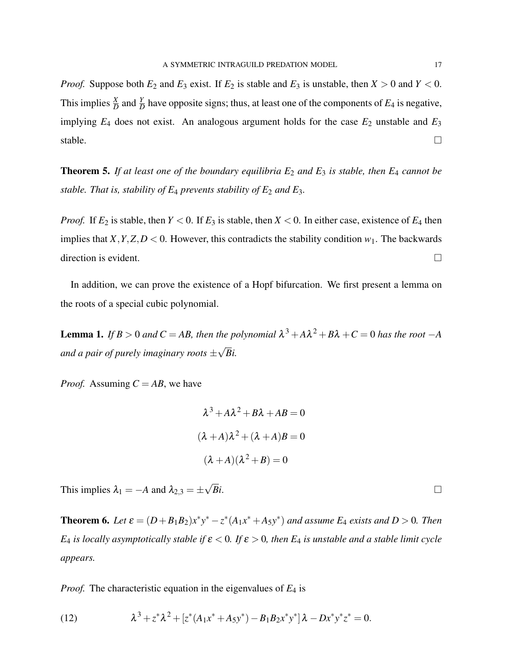*Proof.* Suppose both  $E_2$  and  $E_3$  exist. If  $E_2$  is stable and  $E_3$  is unstable, then  $X > 0$  and  $Y < 0$ . This implies  $\frac{X}{D}$  and  $\frac{Y}{D}$  have opposite signs; thus, at least one of the components of  $E_4$  is negative, implying  $E_4$  does not exist. An analogous argument holds for the case  $E_2$  unstable and  $E_3$ stable.  $\Box$ 

**Theorem 5.** If at least one of the boundary equilibria  $E_2$  and  $E_3$  is stable, then  $E_4$  cannot be *stable. That is, stability of*  $E_4$  *prevents stability of*  $E_2$  *and*  $E_3$ *.* 

*Proof.* If  $E_2$  is stable, then  $Y < 0$ . If  $E_3$  is stable, then  $X < 0$ . In either case, existence of  $E_4$  then implies that *X*, *Y*, *Z*, *D* < 0. However, this contradicts the stability condition  $w_1$ . The backwards direction is evident.  $\Box$ 

In addition, we can prove the existence of a Hopf bifurcation. We first present a lemma on the roots of a special cubic polynomial.

**Lemma 1.** If  $B > 0$  and  $C = AB$ , then the polynomial  $\lambda^3 + A\lambda^2 + B\lambda + C = 0$  has the root  $-A$ *and a pair of purely imaginary roots* ± √ *Bi.*

*Proof.* Assuming  $C = AB$ , we have

$$
\lambda^3 + A\lambda^2 + B\lambda + AB = 0
$$

$$
(\lambda + A)\lambda^2 + (\lambda + A)B = 0
$$

$$
(\lambda + A)(\lambda^2 + B) = 0
$$

This implies  $\lambda_1 = -A$  and  $\lambda_{2,3} = \pm$ √  $\overline{Bi}$ .

**Theorem 6.** Let  $\varepsilon = (D + B_1 B_2)x^*y^* - z^* (A_1 x^* + A_5 y^*)$  and assume  $E_4$  exists and  $D > 0$ . Then *E*<sub>4</sub> *is locally asymptotically stable if*  $\varepsilon$  < 0*. If*  $\varepsilon$  > 0*, then E*<sub>4</sub> *is unstable and a stable limit cycle appears.*

*Proof.* The characteristic equation in the eigenvalues of *E*<sup>4</sup> is

(12) 
$$
\lambda^3 + z^* \lambda^2 + [z^* (A_1 x^* + A_5 y^*) - B_1 B_2 x^* y^*] \lambda - D x^* y^* z^* = 0.
$$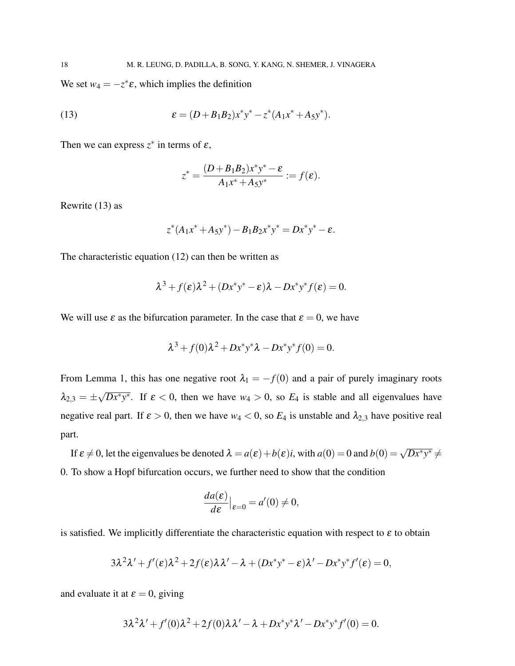We set  $w_4 = -z^* \varepsilon$ , which implies the definition

(13) 
$$
\epsilon = (D + B_1 B_2) x^* y^* - z^* (A_1 x^* + A_5 y^*).
$$

Then we can express  $z^*$  in terms of  $\varepsilon$ ,

$$
z^* = \frac{(D+B_1B_2)x^*y^* - \varepsilon}{A_1x^* + A_5y^*} := f(\varepsilon).
$$

Rewrite (13) as

$$
z^*(A_1x^* + A_5y^*) - B_1B_2x^*y^* = Dx^*y^* - \varepsilon.
$$

The characteristic equation (12) can then be written as

$$
\lambda^3 + f(\varepsilon)\lambda^2 + (Dx^*y^* - \varepsilon)\lambda - Dx^*y^*f(\varepsilon) = 0.
$$

We will use  $\varepsilon$  as the bifurcation parameter. In the case that  $\varepsilon = 0$ , we have

$$
\lambda^{3} + f(0)\lambda^{2} + Dx^{*}y^{*}\lambda - Dx^{*}y^{*}f(0) = 0.
$$

From Lemma 1, this has one negative root  $\lambda_1 = -f(0)$  and a pair of purely imaginary roots  $\lambda_{2,3}=\pm$  $\sqrt{Dx^*y^*}$ . If  $\varepsilon < 0$ , then we have  $w_4 > 0$ , so  $E_4$  is stable and all eigenvalues have negative real part. If  $\varepsilon > 0$ , then we have  $w_4 < 0$ , so  $E_4$  is unstable and  $\lambda_{2,3}$  have positive real part.

If  $\varepsilon \neq 0$ , let the eigenvalues be denoted  $\lambda = a(\varepsilon) + b(\varepsilon)i$ , with  $a(0) = 0$  and  $b(0) = \sqrt{Dx^*y^*} \neq 0$ 0. To show a Hopf bifurcation occurs, we further need to show that the condition

$$
\frac{da(\varepsilon)}{d\varepsilon}\big|_{\varepsilon=0}=a'(0)\neq 0,
$$

is satisfied. We implicitly differentiate the characteristic equation with respect to  $\varepsilon$  to obtain

$$
3\lambda^2\lambda' + f'(\varepsilon)\lambda^2 + 2f(\varepsilon)\lambda\lambda' - \lambda + (Dx^*y^* - \varepsilon)\lambda' - Dx^*y^*f'(\varepsilon) = 0,
$$

and evaluate it at  $\varepsilon = 0$ , giving

$$
3\lambda^2\lambda' + f'(0)\lambda^2 + 2f(0)\lambda\lambda' - \lambda + Dx^*y^*\lambda' - Dx^*y^*f'(0) = 0.
$$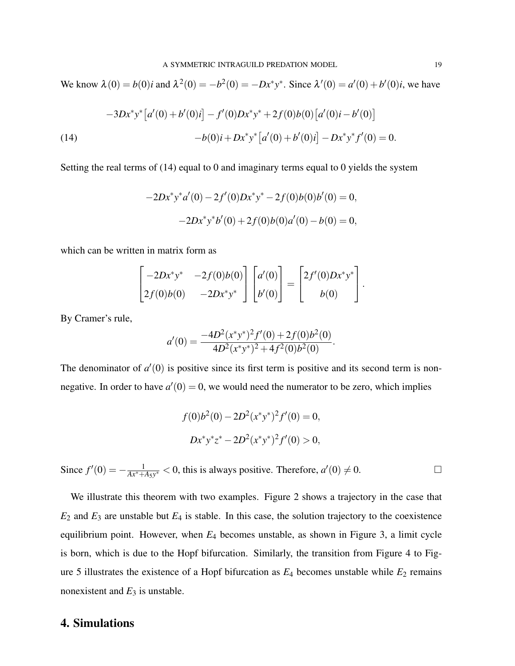We know  $\lambda(0) = b(0)i$  and  $\lambda^2(0) = -b^2(0) = -Dx^*y^*$ . Since  $\lambda'(0) = a'(0) + b'(0)i$ , we have

$$
-3Dx^*y^* [a'(0) + b'(0)i] - f'(0)Dx^*y^* + 2f(0)b(0) [a'(0)i - b'(0)]
$$
  
(14)  

$$
-b(0)i + Dx^*y^* [a'(0) + b'(0)i] - Dx^*y^*f'(0) = 0.
$$

Setting the real terms of (14) equal to 0 and imaginary terms equal to 0 yields the system

$$
-2Dx^*y^*a'(0) - 2f'(0)Dx^*y^* - 2f(0)b(0)b'(0) = 0,
$$
  

$$
-2Dx^*y^*b'(0) + 2f(0)b(0)a'(0) - b(0) = 0,
$$

which can be written in matrix form as

$$
\begin{bmatrix} -2Dx^*y^* & -2f(0)b(0) \\ 2f(0)b(0) & -2Dx^*y^* \end{bmatrix} \begin{bmatrix} a'(0) \\ b'(0) \end{bmatrix} = \begin{bmatrix} 2f'(0)Dx^*y^* \\ b(0) \end{bmatrix}.
$$

By Cramer's rule,

$$
a'(0) = \frac{-4D^2(x^*y^*)^2f'(0) + 2f(0)b^2(0)}{4D^2(x^*y^*)^2 + 4f^2(0)b^2(0)}.
$$

The denominator of  $a'(0)$  is positive since its first term is positive and its second term is nonnegative. In order to have  $a'(0) = 0$ , we would need the numerator to be zero, which implies

$$
f(0)b2(0) - 2D2(x*y*)2f'(0) = 0,
$$
  

$$
Dx*y*z* - 2D2(x*y*)2f'(0) > 0,
$$

Since  $f'(0) = -\frac{1}{Ax^* + A_5y^*} < 0$ , this is always positive. Therefore,  $a'(0) \neq 0$ .

We illustrate this theorem with two examples. Figure 2 shows a trajectory in the case that  $E_2$  and  $E_3$  are unstable but  $E_4$  is stable. In this case, the solution trajectory to the coexistence equilibrium point. However, when *E*<sup>4</sup> becomes unstable, as shown in Figure 3, a limit cycle is born, which is due to the Hopf bifurcation. Similarly, the transition from Figure 4 to Figure 5 illustrates the existence of a Hopf bifurcation as  $E_4$  becomes unstable while  $E_2$  remains nonexistent and  $E_3$  is unstable.

### 4. Simulations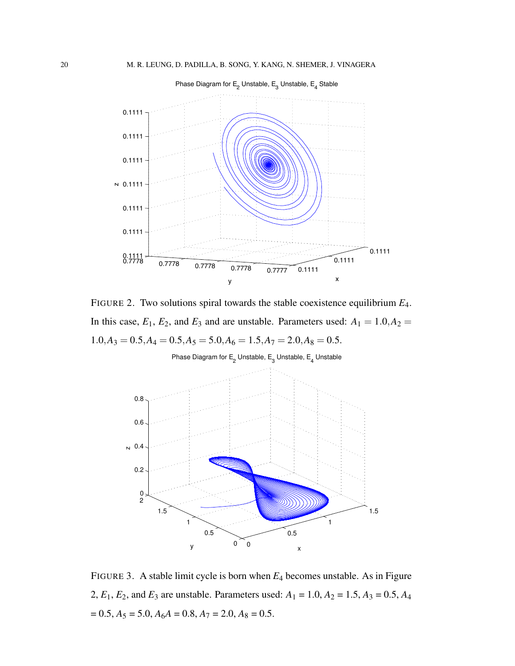

FIGURE 2. Two solutions spiral towards the stable coexistence equilibrium *E*4. In this case,  $E_1$ ,  $E_2$ , and  $E_3$  and are unstable. Parameters used:  $A_1 = 1.0, A_2 =$  $1.0, A_3 = 0.5, A_4 = 0.5, A_5 = 5.0, A_6 = 1.5, A_7 = 2.0, A_8 = 0.5.$ 



FIGURE 3. A stable limit cycle is born when *E*<sup>4</sup> becomes unstable. As in Figure 2,  $E_1$ ,  $E_2$ , and  $E_3$  are unstable. Parameters used:  $A_1 = 1.0$ ,  $A_2 = 1.5$ ,  $A_3 = 0.5$ ,  $A_4$  $= 0.5, A_5 = 5.0, A_6A = 0.8, A_7 = 2.0, A_8 = 0.5.$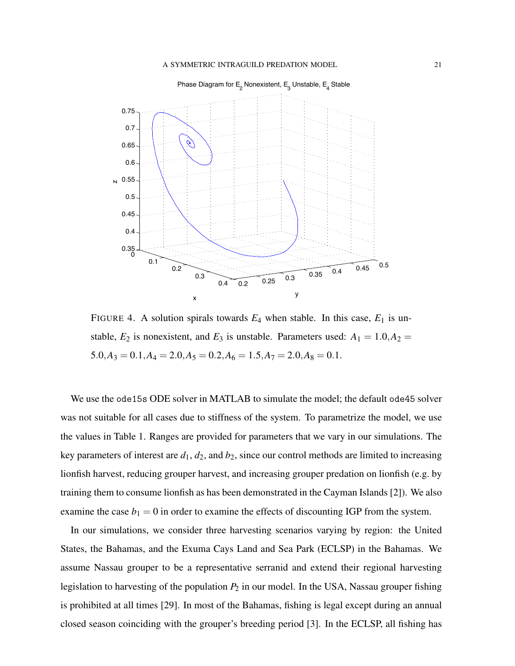

FIGURE 4. A solution spirals towards  $E_4$  when stable. In this case,  $E_1$  is unstable,  $E_2$  is nonexistent, and  $E_3$  is unstable. Parameters used:  $A_1 = 1.0, A_2 =$  $5.0, A_3 = 0.1, A_4 = 2.0, A_5 = 0.2, A_6 = 1.5, A_7 = 2.0, A_8 = 0.1.$ 

We use the ode15s ODE solver in MATLAB to simulate the model; the default ode45 solver was not suitable for all cases due to stiffness of the system. To parametrize the model, we use the values in Table 1. Ranges are provided for parameters that we vary in our simulations. The key parameters of interest are  $d_1$ ,  $d_2$ , and  $b_2$ , since our control methods are limited to increasing lionfish harvest, reducing grouper harvest, and increasing grouper predation on lionfish (e.g. by training them to consume lionfish as has been demonstrated in the Cayman Islands [2]). We also examine the case  $b_1 = 0$  in order to examine the effects of discounting IGP from the system.

In our simulations, we consider three harvesting scenarios varying by region: the United States, the Bahamas, and the Exuma Cays Land and Sea Park (ECLSP) in the Bahamas. We assume Nassau grouper to be a representative serranid and extend their regional harvesting legislation to harvesting of the population *P*<sup>2</sup> in our model. In the USA, Nassau grouper fishing is prohibited at all times [29]. In most of the Bahamas, fishing is legal except during an annual closed season coinciding with the grouper's breeding period [3]. In the ECLSP, all fishing has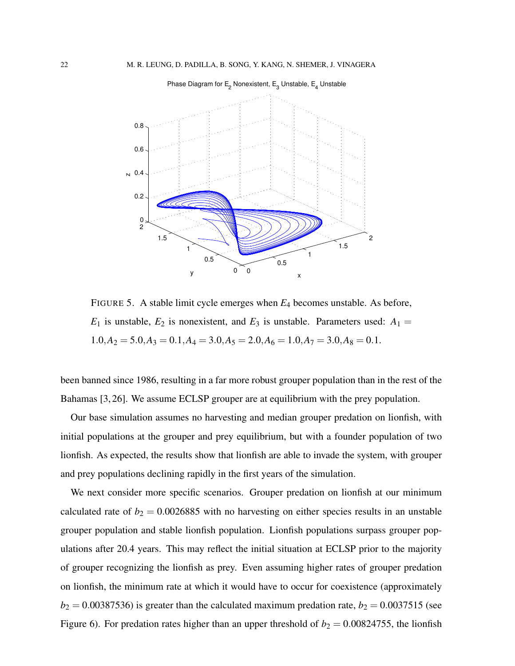

FIGURE 5. A stable limit cycle emerges when *E*<sup>4</sup> becomes unstable. As before,  $E_1$  is unstable,  $E_2$  is nonexistent, and  $E_3$  is unstable. Parameters used:  $A_1 =$  $1.0, A_2 = 5.0, A_3 = 0.1, A_4 = 3.0, A_5 = 2.0, A_6 = 1.0, A_7 = 3.0, A_8 = 0.1.$ 

been banned since 1986, resulting in a far more robust grouper population than in the rest of the Bahamas [3, 26]. We assume ECLSP grouper are at equilibrium with the prey population.

Our base simulation assumes no harvesting and median grouper predation on lionfish, with initial populations at the grouper and prey equilibrium, but with a founder population of two lionfish. As expected, the results show that lionfish are able to invade the system, with grouper and prey populations declining rapidly in the first years of the simulation.

We next consider more specific scenarios. Grouper predation on lionfish at our minimum calculated rate of  $b_2 = 0.0026885$  with no harvesting on either species results in an unstable grouper population and stable lionfish population. Lionfish populations surpass grouper populations after 20.4 years. This may reflect the initial situation at ECLSP prior to the majority of grouper recognizing the lionfish as prey. Even assuming higher rates of grouper predation on lionfish, the minimum rate at which it would have to occur for coexistence (approximately  $b_2 = 0.00387536$ ) is greater than the calculated maximum predation rate,  $b_2 = 0.0037515$  (see Figure 6). For predation rates higher than an upper threshold of  $b_2 = 0.00824755$ , the lionfish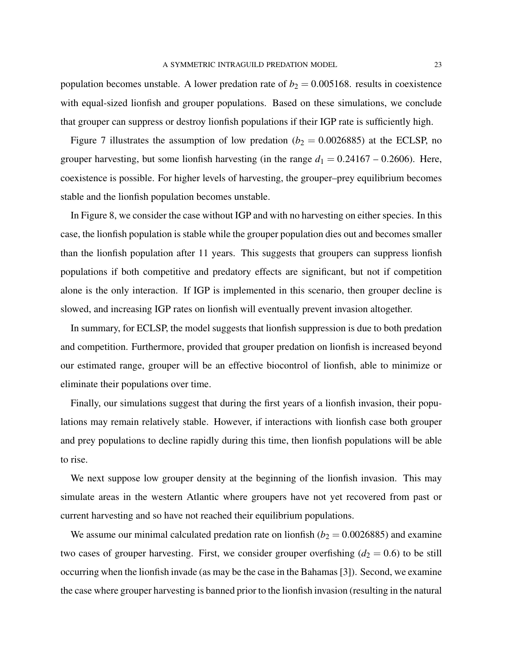population becomes unstable. A lower predation rate of  $b_2 = 0.005168$ . results in coexistence with equal-sized lionfish and grouper populations. Based on these simulations, we conclude that grouper can suppress or destroy lionfish populations if their IGP rate is sufficiently high.

Figure 7 illustrates the assumption of low predation ( $b_2 = 0.0026885$ ) at the ECLSP, no grouper harvesting, but some lionfish harvesting (in the range  $d_1 = 0.24167 - 0.2606$ ). Here, coexistence is possible. For higher levels of harvesting, the grouper–prey equilibrium becomes stable and the lionfish population becomes unstable.

In Figure 8, we consider the case without IGP and with no harvesting on either species. In this case, the lionfish population is stable while the grouper population dies out and becomes smaller than the lionfish population after 11 years. This suggests that groupers can suppress lionfish populations if both competitive and predatory effects are significant, but not if competition alone is the only interaction. If IGP is implemented in this scenario, then grouper decline is slowed, and increasing IGP rates on lionfish will eventually prevent invasion altogether.

In summary, for ECLSP, the model suggests that lionfish suppression is due to both predation and competition. Furthermore, provided that grouper predation on lionfish is increased beyond our estimated range, grouper will be an effective biocontrol of lionfish, able to minimize or eliminate their populations over time.

Finally, our simulations suggest that during the first years of a lionfish invasion, their populations may remain relatively stable. However, if interactions with lionfish case both grouper and prey populations to decline rapidly during this time, then lionfish populations will be able to rise.

We next suppose low grouper density at the beginning of the lionfish invasion. This may simulate areas in the western Atlantic where groupers have not yet recovered from past or current harvesting and so have not reached their equilibrium populations.

We assume our minimal calculated predation rate on lionfish ( $b_2 = 0.0026885$ ) and examine two cases of grouper harvesting. First, we consider grouper overfishing  $(d_2 = 0.6)$  to be still occurring when the lionfish invade (as may be the case in the Bahamas [3]). Second, we examine the case where grouper harvesting is banned prior to the lionfish invasion (resulting in the natural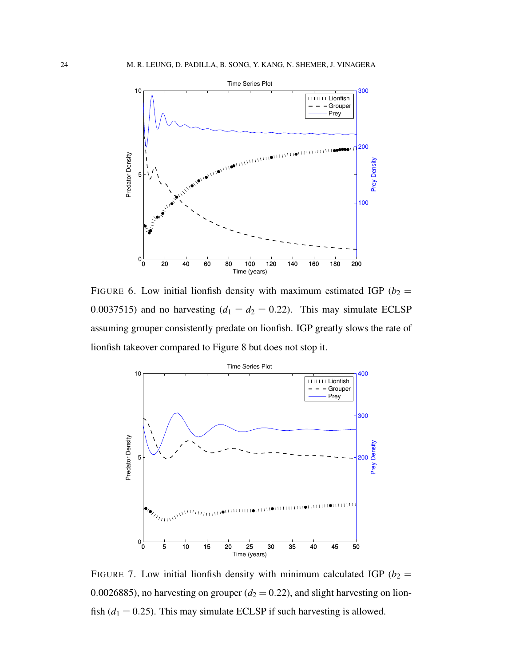

FIGURE 6. Low initial lionfish density with maximum estimated IGP ( $b_2$  = 0.0037515) and no harvesting  $(d_1 = d_2 = 0.22)$ . This may simulate ECLSP assuming grouper consistently predate on lionfish. IGP greatly slows the rate of lionfish takeover compared to Figure 8 but does not stop it.



FIGURE 7. Low initial lionfish density with minimum calculated IGP ( $b_2$  = 0.0026885), no harvesting on grouper  $(d_2 = 0.22)$ , and slight harvesting on lionfish  $(d_1 = 0.25)$ . This may simulate ECLSP if such harvesting is allowed.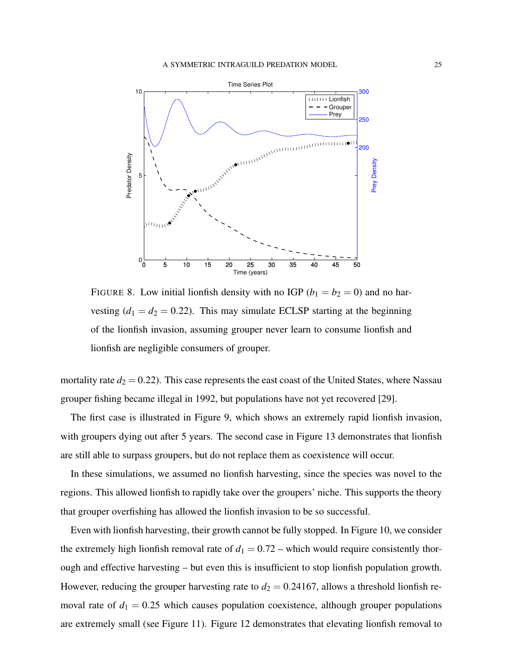

FIGURE 8. Low initial lionfish density with no IGP ( $b_1 = b_2 = 0$ ) and no harvesting  $(d_1 = d_2 = 0.22)$ . This may simulate ECLSP starting at the beginning of the lionfish invasion, assuming grouper never learn to consume lionfish and lionfish are negligible consumers of grouper.

mortality rate  $d_2 = 0.22$ ). This case represents the east coast of the United States, where Nassau grouper fishing became illegal in 1992, but populations have not yet recovered [29].

The first case is illustrated in Figure 9, which shows an extremely rapid lionfish invasion, with groupers dying out after 5 years. The second case in Figure 13 demonstrates that lionfish are still able to surpass groupers, but do not replace them as coexistence will occur.

In these simulations, we assumed no lionfish harvesting, since the species was novel to the regions. This allowed lionfish to rapidly take over the groupers' niche. This supports the theory that grouper overfishing has allowed the lionfish invasion to be so successful.

Even with lionfish harvesting, their growth cannot be fully stopped. In Figure 10, we consider the extremely high lionfish removal rate of  $d_1 = 0.72$  – which would require consistently thorough and effective harvesting – but even this is insufficient to stop lionfish population growth. However, reducing the grouper harvesting rate to  $d_2 = 0.24167$ , allows a threshold lionfish removal rate of  $d_1 = 0.25$  which causes population coexistence, although grouper populations are extremely small (see Figure 11). Figure 12 demonstrates that elevating lionfish removal to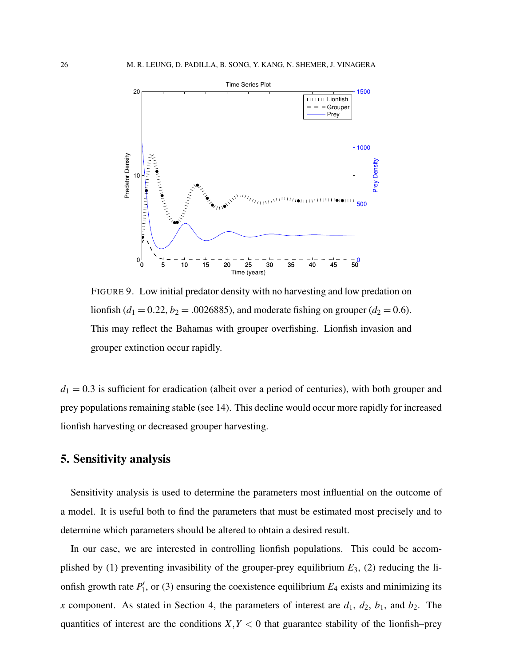

FIGURE 9. Low initial predator density with no harvesting and low predation on lionfish ( $d_1 = 0.22$ ,  $b_2 = .0026885$ ), and moderate fishing on grouper ( $d_2 = 0.6$ ). This may reflect the Bahamas with grouper overfishing. Lionfish invasion and grouper extinction occur rapidly.

 $d_1 = 0.3$  is sufficient for eradication (albeit over a period of centuries), with both grouper and prey populations remaining stable (see 14). This decline would occur more rapidly for increased lionfish harvesting or decreased grouper harvesting.

## 5. Sensitivity analysis

Sensitivity analysis is used to determine the parameters most influential on the outcome of a model. It is useful both to find the parameters that must be estimated most precisely and to determine which parameters should be altered to obtain a desired result.

In our case, we are interested in controlling lionfish populations. This could be accomplished by (1) preventing invasibility of the grouper-prey equilibrium *E*3, (2) reducing the lionfish growth rate  $P_1'$  $L_1'$ , or (3) ensuring the coexistence equilibrium  $E_4$  exists and minimizing its *x* component. As stated in Section 4, the parameters of interest are  $d_1$ ,  $d_2$ ,  $b_1$ , and  $b_2$ . The quantities of interest are the conditions  $X, Y \leq 0$  that guarantee stability of the lionfish–prey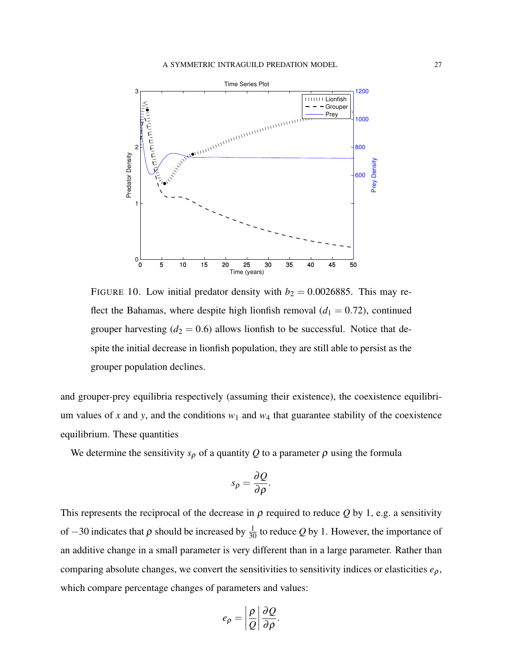

FIGURE 10. Low initial predator density with  $b_2 = 0.0026885$ . This may reflect the Bahamas, where despite high lionfish removal  $(d_1 = 0.72)$ , continued grouper harvesting  $(d_2 = 0.6)$  allows lionfish to be successful. Notice that despite the initial decrease in lionfish population, they are still able to persist as the grouper population declines.

and grouper-prey equilibria respectively (assuming their existence), the coexistence equilibrium values of x and y, and the conditions  $w_1$  and  $w_4$  that guarantee stability of the coexistence equilibrium. These quantities

We determine the sensitivity  $s_{\rho}$  of a quantity Q to a parameter  $\rho$  using the formula

$$
s_{\rho}=\frac{\partial Q}{\partial \rho}.
$$

This represents the reciprocal of the decrease in  $\rho$  required to reduce  $Q$  by 1, e.g. a sensitivity of  $-30$  indicates that  $\rho$  should be increased by  $\frac{1}{30}$  to reduce  $Q$  by 1. However, the importance of an additive change in a small parameter is very different than in a large parameter. Rather than comparing absolute changes, we convert the sensitivities to sensitivity indices or elasticities  $e_p$ , which compare percentage changes of parameters and values:

$$
e_{\rho}=\left|\frac{\rho}{Q}\right|\frac{\partial Q}{\partial \rho}.
$$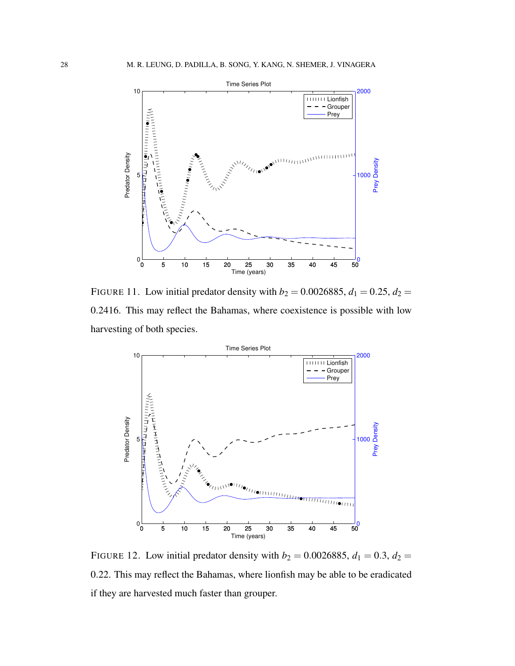

FIGURE 11. Low initial predator density with  $b_2 = 0.0026885$ ,  $d_1 = 0.25$ ,  $d_2 =$ 0.2416. This may reflect the Bahamas, where coexistence is possible with low harvesting of both species.



FIGURE 12. Low initial predator density with  $b_2 = 0.0026885$ ,  $d_1 = 0.3$ ,  $d_2 =$ 0.22. This may reflect the Bahamas, where lionfish may be able to be eradicated if they are harvested much faster than grouper.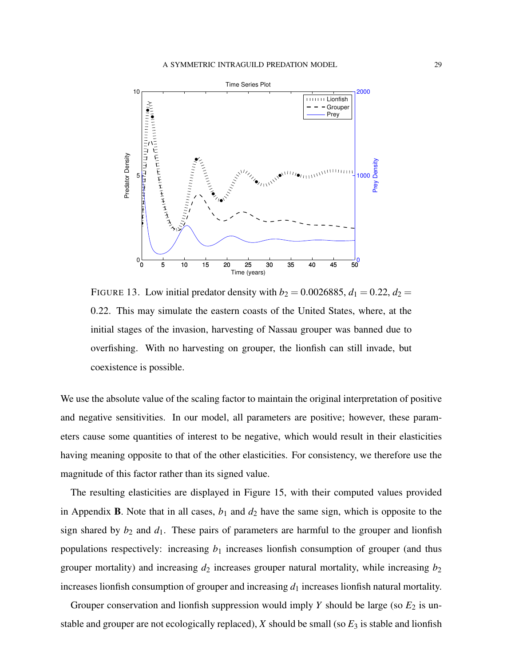

FIGURE 13. Low initial predator density with  $b_2 = 0.0026885$ ,  $d_1 = 0.22$ ,  $d_2 =$ 0.22. This may simulate the eastern coasts of the United States, where, at the initial stages of the invasion, harvesting of Nassau grouper was banned due to overfishing. With no harvesting on grouper, the lionfish can still invade, but coexistence is possible.

We use the absolute value of the scaling factor to maintain the original interpretation of positive and negative sensitivities. In our model, all parameters are positive; however, these parameters cause some quantities of interest to be negative, which would result in their elasticities having meaning opposite to that of the other elasticities. For consistency, we therefore use the magnitude of this factor rather than its signed value.

The resulting elasticities are displayed in Figure 15, with their computed values provided in Appendix **B**. Note that in all cases,  $b_1$  and  $d_2$  have the same sign, which is opposite to the sign shared by  $b_2$  and  $d_1$ . These pairs of parameters are harmful to the grouper and lionfish populations respectively: increasing  $b_1$  increases lionfish consumption of grouper (and thus grouper mortality) and increasing  $d_2$  increases grouper natural mortality, while increasing  $b_2$ increases lionfish consumption of grouper and increasing  $d_1$  increases lionfish natural mortality.

Grouper conservation and lionfish suppression would imply  $Y$  should be large (so  $E_2$  is unstable and grouper are not ecologically replaced),  $X$  should be small (so  $E_3$  is stable and lionfish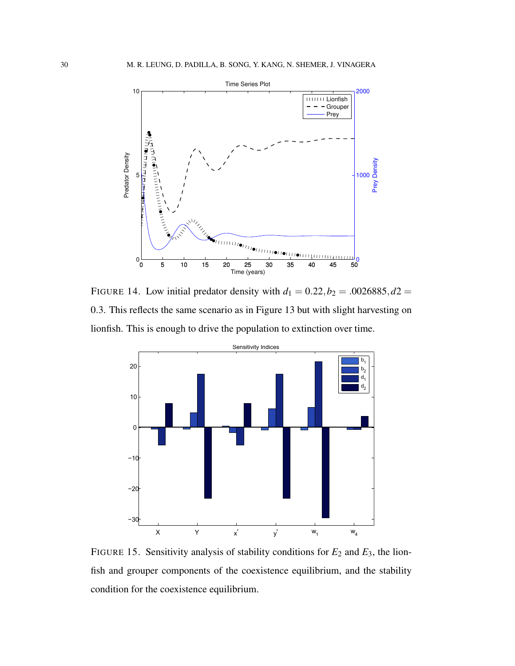

FIGURE 14. Low initial predator density with  $d_1 = 0.22, b_2 = 0.0026885, d_2 = 0.0026885$ 0.3. This reflects the same scenario as in Figure 13 but with slight harvesting on lionfish. This is enough to drive the population to extinction over time.



FIGURE 15. Sensitivity analysis of stability conditions for  $E_2$  and  $E_3$ , the lionfish and grouper components of the coexistence equilibrium, and the stability condition for the coexistence equilibrium.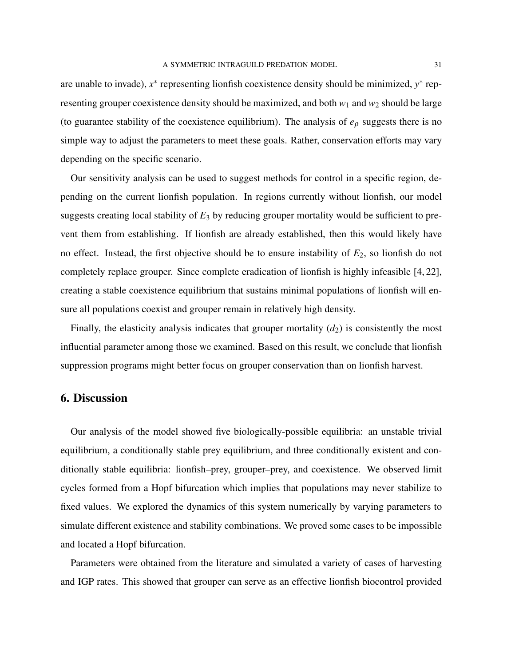are unable to invade),  $x^*$  representing lionfish coexistence density should be minimized,  $y^*$  representing grouper coexistence density should be maximized, and both  $w_1$  and  $w_2$  should be large (to guarantee stability of the coexistence equilibrium). The analysis of *e*<sup>ρ</sup> suggests there is no simple way to adjust the parameters to meet these goals. Rather, conservation efforts may vary depending on the specific scenario.

Our sensitivity analysis can be used to suggest methods for control in a specific region, depending on the current lionfish population. In regions currently without lionfish, our model suggests creating local stability of  $E_3$  by reducing grouper mortality would be sufficient to prevent them from establishing. If lionfish are already established, then this would likely have no effect. Instead, the first objective should be to ensure instability of *E*2, so lionfish do not completely replace grouper. Since complete eradication of lionfish is highly infeasible [4, 22], creating a stable coexistence equilibrium that sustains minimal populations of lionfish will ensure all populations coexist and grouper remain in relatively high density.

Finally, the elasticity analysis indicates that grouper mortality  $(d_2)$  is consistently the most influential parameter among those we examined. Based on this result, we conclude that lionfish suppression programs might better focus on grouper conservation than on lionfish harvest.

#### 6. Discussion

Our analysis of the model showed five biologically-possible equilibria: an unstable trivial equilibrium, a conditionally stable prey equilibrium, and three conditionally existent and conditionally stable equilibria: lionfish–prey, grouper–prey, and coexistence. We observed limit cycles formed from a Hopf bifurcation which implies that populations may never stabilize to fixed values. We explored the dynamics of this system numerically by varying parameters to simulate different existence and stability combinations. We proved some cases to be impossible and located a Hopf bifurcation.

Parameters were obtained from the literature and simulated a variety of cases of harvesting and IGP rates. This showed that grouper can serve as an effective lionfish biocontrol provided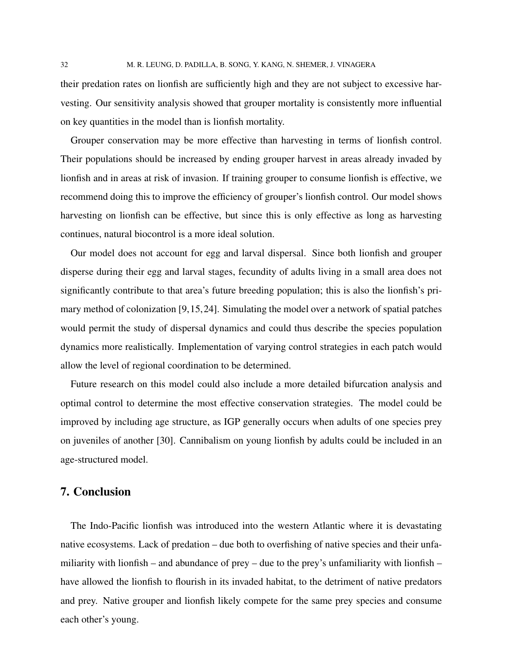their predation rates on lionfish are sufficiently high and they are not subject to excessive harvesting. Our sensitivity analysis showed that grouper mortality is consistently more influential on key quantities in the model than is lionfish mortality.

Grouper conservation may be more effective than harvesting in terms of lionfish control. Their populations should be increased by ending grouper harvest in areas already invaded by lionfish and in areas at risk of invasion. If training grouper to consume lionfish is effective, we recommend doing this to improve the efficiency of grouper's lionfish control. Our model shows harvesting on lionfish can be effective, but since this is only effective as long as harvesting continues, natural biocontrol is a more ideal solution.

Our model does not account for egg and larval dispersal. Since both lionfish and grouper disperse during their egg and larval stages, fecundity of adults living in a small area does not significantly contribute to that area's future breeding population; this is also the lionfish's primary method of colonization [9,15,24]. Simulating the model over a network of spatial patches would permit the study of dispersal dynamics and could thus describe the species population dynamics more realistically. Implementation of varying control strategies in each patch would allow the level of regional coordination to be determined.

Future research on this model could also include a more detailed bifurcation analysis and optimal control to determine the most effective conservation strategies. The model could be improved by including age structure, as IGP generally occurs when adults of one species prey on juveniles of another [30]. Cannibalism on young lionfish by adults could be included in an age-structured model.

## 7. Conclusion

The Indo-Pacific lionfish was introduced into the western Atlantic where it is devastating native ecosystems. Lack of predation – due both to overfishing of native species and their unfamiliarity with lionfish – and abundance of prey – due to the prey's unfamiliarity with lionfish – have allowed the lionfish to flourish in its invaded habitat, to the detriment of native predators and prey. Native grouper and lionfish likely compete for the same prey species and consume each other's young.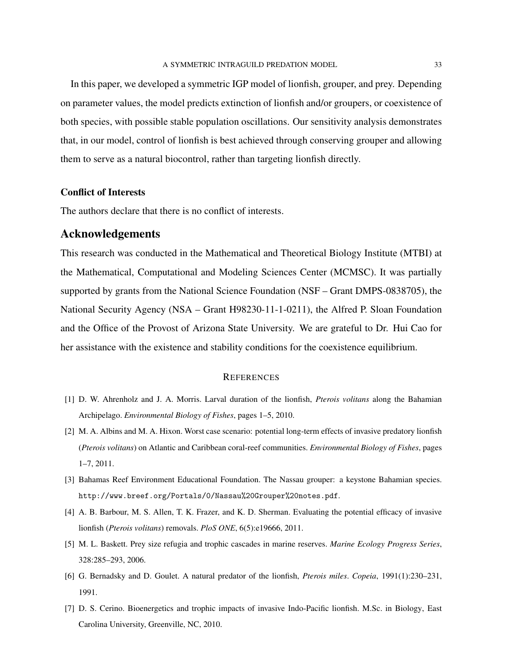In this paper, we developed a symmetric IGP model of lionfish, grouper, and prey. Depending on parameter values, the model predicts extinction of lionfish and/or groupers, or coexistence of both species, with possible stable population oscillations. Our sensitivity analysis demonstrates that, in our model, control of lionfish is best achieved through conserving grouper and allowing them to serve as a natural biocontrol, rather than targeting lionfish directly.

#### Conflict of Interests

The authors declare that there is no conflict of interests.

#### Acknowledgements

This research was conducted in the Mathematical and Theoretical Biology Institute (MTBI) at the Mathematical, Computational and Modeling Sciences Center (MCMSC). It was partially supported by grants from the National Science Foundation (NSF – Grant DMPS-0838705), the National Security Agency (NSA – Grant H98230-11-1-0211), the Alfred P. Sloan Foundation and the Office of the Provost of Arizona State University. We are grateful to Dr. Hui Cao for her assistance with the existence and stability conditions for the coexistence equilibrium.

#### **REFERENCES**

- [1] D. W. Ahrenholz and J. A. Morris. Larval duration of the lionfish, *Pterois volitans* along the Bahamian Archipelago. *Environmental Biology of Fishes*, pages 1–5, 2010.
- [2] M. A. Albins and M. A. Hixon. Worst case scenario: potential long-term effects of invasive predatory lionfish (*Pterois volitans*) on Atlantic and Caribbean coral-reef communities. *Environmental Biology of Fishes*, pages 1–7, 2011.
- [3] Bahamas Reef Environment Educational Foundation. The Nassau grouper: a keystone Bahamian species. http://www.breef.org/Portals/0/Nassau%20Grouper%20notes.pdf.
- [4] A. B. Barbour, M. S. Allen, T. K. Frazer, and K. D. Sherman. Evaluating the potential efficacy of invasive lionfish (*Pterois volitans*) removals. *PloS ONE*, 6(5):e19666, 2011.
- [5] M. L. Baskett. Prey size refugia and trophic cascades in marine reserves. *Marine Ecology Progress Series*, 328:285–293, 2006.
- [6] G. Bernadsky and D. Goulet. A natural predator of the lionfish, *Pterois miles*. *Copeia*, 1991(1):230–231, 1991.
- [7] D. S. Cerino. Bioenergetics and trophic impacts of invasive Indo-Pacific lionfish. M.Sc. in Biology, East Carolina University, Greenville, NC, 2010.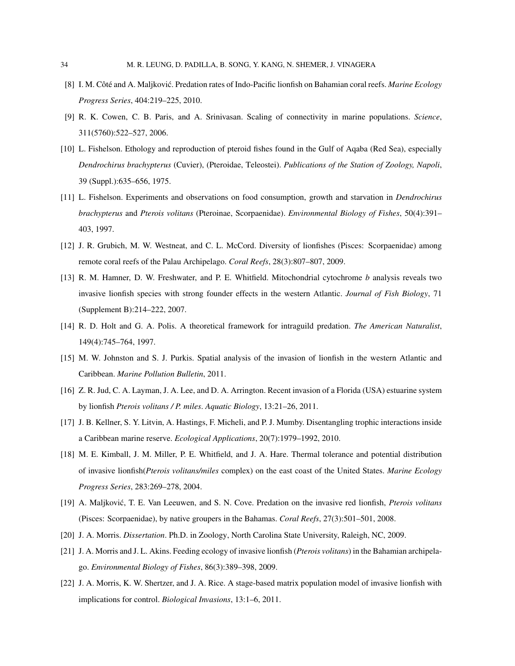- [8] I. M. Côté and A. Maljković. Predation rates of Indo-Pacific lionfish on Bahamian coral reefs. *Marine Ecology Progress Series*, 404:219–225, 2010.
- [9] R. K. Cowen, C. B. Paris, and A. Srinivasan. Scaling of connectivity in marine populations. *Science*, 311(5760):522–527, 2006.
- [10] L. Fishelson. Ethology and reproduction of pteroid fishes found in the Gulf of Aqaba (Red Sea), especially *Dendrochirus brachypterus* (Cuvier), (Pteroidae, Teleostei). *Publications of the Station of Zoology, Napoli*, 39 (Suppl.):635–656, 1975.
- [11] L. Fishelson. Experiments and observations on food consumption, growth and starvation in *Dendrochirus brachypterus* and *Pterois volitans* (Pteroinae, Scorpaenidae). *Environmental Biology of Fishes*, 50(4):391– 403, 1997.
- [12] J. R. Grubich, M. W. Westneat, and C. L. McCord. Diversity of lionfishes (Pisces: Scorpaenidae) among remote coral reefs of the Palau Archipelago. *Coral Reefs*, 28(3):807–807, 2009.
- [13] R. M. Hamner, D. W. Freshwater, and P. E. Whitfield. Mitochondrial cytochrome *b* analysis reveals two invasive lionfish species with strong founder effects in the western Atlantic. *Journal of Fish Biology*, 71 (Supplement B):214–222, 2007.
- [14] R. D. Holt and G. A. Polis. A theoretical framework for intraguild predation. *The American Naturalist*, 149(4):745–764, 1997.
- [15] M. W. Johnston and S. J. Purkis. Spatial analysis of the invasion of lionfish in the western Atlantic and Caribbean. *Marine Pollution Bulletin*, 2011.
- [16] Z. R. Jud, C. A. Layman, J. A. Lee, and D. A. Arrington. Recent invasion of a Florida (USA) estuarine system by lionfish *Pterois volitans / P. miles*. *Aquatic Biology*, 13:21–26, 2011.
- [17] J. B. Kellner, S. Y. Litvin, A. Hastings, F. Micheli, and P. J. Mumby. Disentangling trophic interactions inside a Caribbean marine reserve. *Ecological Applications*, 20(7):1979–1992, 2010.
- [18] M. E. Kimball, J. M. Miller, P. E. Whitfield, and J. A. Hare. Thermal tolerance and potential distribution of invasive lionfish(*Pterois volitans/miles* complex) on the east coast of the United States. *Marine Ecology Progress Series*, 283:269–278, 2004.
- [19] A. Maljkovic, T. E. Van Leeuwen, and S. N. Cove. Predation on the invasive red lionfish, ´ *Pterois volitans* (Pisces: Scorpaenidae), by native groupers in the Bahamas. *Coral Reefs*, 27(3):501–501, 2008.
- [20] J. A. Morris. *Dissertation*. Ph.D. in Zoology, North Carolina State University, Raleigh, NC, 2009.
- [21] J. A. Morris and J. L. Akins. Feeding ecology of invasive lionfish (*Pterois volitans*) in the Bahamian archipelago. *Environmental Biology of Fishes*, 86(3):389–398, 2009.
- [22] J. A. Morris, K. W. Shertzer, and J. A. Rice. A stage-based matrix population model of invasive lionfish with implications for control. *Biological Invasions*, 13:1–6, 2011.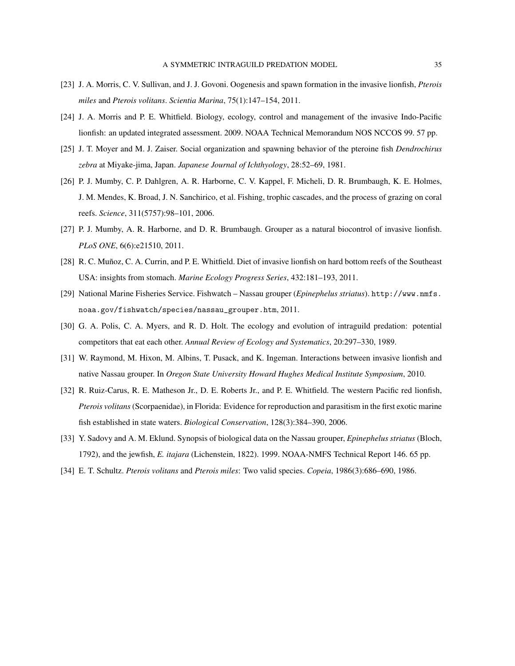- [23] J. A. Morris, C. V. Sullivan, and J. J. Govoni. Oogenesis and spawn formation in the invasive lionfish, *Pterois miles* and *Pterois volitans*. *Scientia Marina*, 75(1):147–154, 2011.
- [24] J. A. Morris and P. E. Whitfield. Biology, ecology, control and management of the invasive Indo-Pacific lionfish: an updated integrated assessment. 2009. NOAA Technical Memorandum NOS NCCOS 99. 57 pp.
- [25] J. T. Moyer and M. J. Zaiser. Social organization and spawning behavior of the pteroine fish *Dendrochirus zebra* at Miyake-jima, Japan. *Japanese Journal of Ichthyology*, 28:52–69, 1981.
- [26] P. J. Mumby, C. P. Dahlgren, A. R. Harborne, C. V. Kappel, F. Micheli, D. R. Brumbaugh, K. E. Holmes, J. M. Mendes, K. Broad, J. N. Sanchirico, et al. Fishing, trophic cascades, and the process of grazing on coral reefs. *Science*, 311(5757):98–101, 2006.
- [27] P. J. Mumby, A. R. Harborne, and D. R. Brumbaugh. Grouper as a natural biocontrol of invasive lionfish. *PLoS ONE*, 6(6):e21510, 2011.
- [28] R. C. Muñoz, C. A. Currin, and P. E. Whitfield. Diet of invasive lionfish on hard bottom reefs of the Southeast USA: insights from stomach. *Marine Ecology Progress Series*, 432:181–193, 2011.
- [29] National Marine Fisheries Service. Fishwatch Nassau grouper (*Epinephelus striatus*). http://www.nmfs. noaa.gov/fishwatch/species/nassau\_grouper.htm, 2011.
- [30] G. A. Polis, C. A. Myers, and R. D. Holt. The ecology and evolution of intraguild predation: potential competitors that eat each other. *Annual Review of Ecology and Systematics*, 20:297–330, 1989.
- [31] W. Raymond, M. Hixon, M. Albins, T. Pusack, and K. Ingeman. Interactions between invasive lionfish and native Nassau grouper. In *Oregon State University Howard Hughes Medical Institute Symposium*, 2010.
- [32] R. Ruiz-Carus, R. E. Matheson Jr., D. E. Roberts Jr., and P. E. Whitfield. The western Pacific red lionfish, *Pterois volitans*(Scorpaenidae), in Florida: Evidence for reproduction and parasitism in the first exotic marine fish established in state waters. *Biological Conservation*, 128(3):384–390, 2006.
- [33] Y. Sadovy and A. M. Eklund. Synopsis of biological data on the Nassau grouper, *Epinephelus striatus* (Bloch, 1792), and the jewfish, *E. itajara* (Lichenstein, 1822). 1999. NOAA-NMFS Technical Report 146. 65 pp.
- [34] E. T. Schultz. *Pterois volitans* and *Pterois miles*: Two valid species. *Copeia*, 1986(3):686–690, 1986.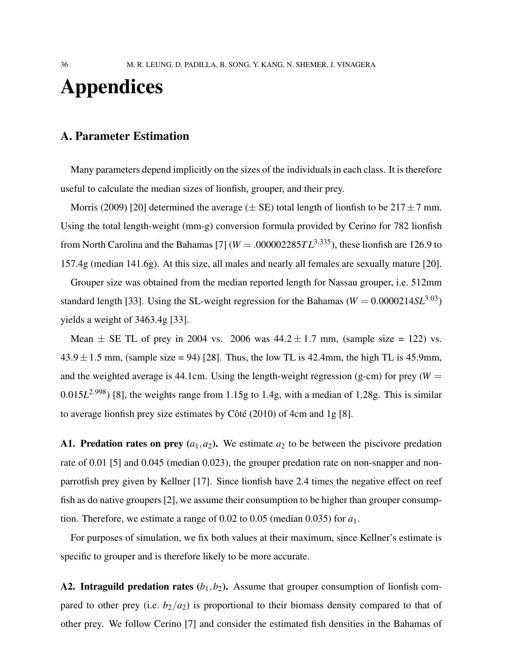# Appendices

## A. Parameter Estimation

Many parameters depend implicitly on the sizes of the individuals in each class. It is therefore useful to calculate the median sizes of lionfish, grouper, and their prey.

Morris (2009) [20] determined the average ( $\pm$  SE) total length of lionfish to be 217 $\pm$ 7 mm. Using the total length-weight (mm-g) conversion formula provided by Cerino for 782 lionfish from North Carolina and the Bahamas [7] ( $W = .000002285TL^{3.335}$ ), these lionfish are 126.9 to 157.4g (median 141.6g). At this size, all males and nearly all females are sexually mature [20].

Grouper size was obtained from the median reported length for Nassau grouper, i.e. 512mm standard length [33]. Using the SL-weight regression for the Bahamas ( $W = 0.0000214SL^{3.03}$ ) yields a weight of 3463.4g [33].

Mean  $\pm$  SE TL of prey in 2004 vs. 2006 was  $44.2 \pm 1.7$  mm, (sample size = 122) vs.  $43.9 \pm 1.5$  mm, (sample size = 94) [28]. Thus, the low TL is 42.4mm, the high TL is 45.9mm, and the weighted average is 44.1cm. Using the length-weight regression (g-cm) for prey ( $W =$ 0.015*L* <sup>2</sup>.998) [8], the weights range from 1.15g to 1.4g, with a median of 1.28g. This is similar to average lionfish prey size estimates by Côté  $(2010)$  of 4cm and 1g [8].

A1. Predation rates on prey  $(a_1, a_2)$ . We estimate  $a_2$  to be between the piscivore predation rate of 0.01 [5] and 0.045 (median 0.023), the grouper predation rate on non-snapper and nonparrotfish prey given by Kellner [17]. Since lionfish have 2.4 times the negative effect on reef fish as do native groupers [2], we assume their consumption to be higher than grouper consumption. Therefore, we estimate a range of 0.02 to 0.05 (median 0.035) for *a*1.

For purposes of simulation, we fix both values at their maximum, since Kellner's estimate is specific to grouper and is therefore likely to be more accurate.

A2. Intraguild predation rates  $(b_1, b_2)$ . Assume that grouper consumption of lionfish compared to other prey (i.e.  $b_2/a_2$ ) is proportional to their biomass density compared to that of other prey. We follow Cerino [7] and consider the estimated fish densities in the Bahamas of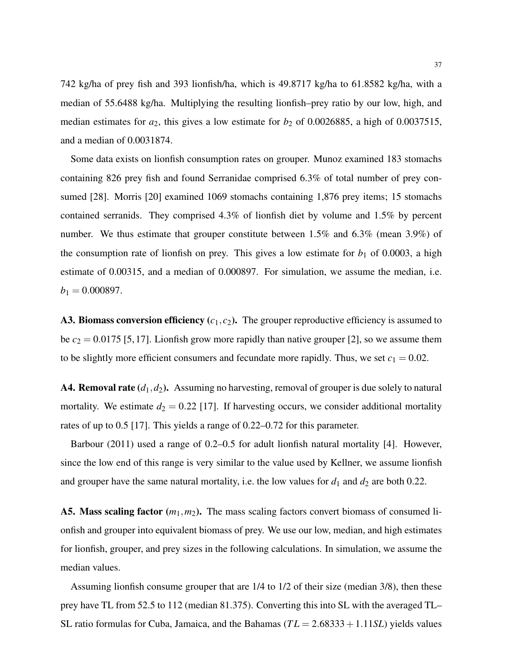742 kg/ha of prey fish and 393 lionfish/ha, which is 49.8717 kg/ha to 61.8582 kg/ha, with a median of 55.6488 kg/ha. Multiplying the resulting lionfish–prey ratio by our low, high, and median estimates for  $a_2$ , this gives a low estimate for  $b_2$  of 0.0026885, a high of 0.0037515, and a median of 0.0031874.

Some data exists on lionfish consumption rates on grouper. Munoz examined 183 stomachs containing 826 prey fish and found Serranidae comprised 6.3% of total number of prey consumed [28]. Morris [20] examined 1069 stomachs containing 1,876 prey items; 15 stomachs contained serranids. They comprised 4.3% of lionfish diet by volume and 1.5% by percent number. We thus estimate that grouper constitute between 1.5% and 6.3% (mean 3.9%) of the consumption rate of lionfish on prey. This gives a low estimate for  $b_1$  of 0.0003, a high estimate of 0.00315, and a median of 0.000897. For simulation, we assume the median, i.e.  $b_1 = 0.000897.$ 

A3. Biomass conversion efficiency  $(c_1, c_2)$ . The grouper reproductive efficiency is assumed to be  $c_2 = 0.0175$  [5, 17]. Lionfish grow more rapidly than native grouper [2], so we assume them to be slightly more efficient consumers and fecundate more rapidly. Thus, we set  $c_1 = 0.02$ .

A4. Removal rate  $(d_1, d_2)$ . Assuming no harvesting, removal of grouper is due solely to natural mortality. We estimate  $d_2 = 0.22$  [17]. If harvesting occurs, we consider additional mortality rates of up to 0.5 [17]. This yields a range of 0.22–0.72 for this parameter.

Barbour (2011) used a range of 0.2–0.5 for adult lionfish natural mortality [4]. However, since the low end of this range is very similar to the value used by Kellner, we assume lionfish and grouper have the same natural mortality, i.e. the low values for  $d_1$  and  $d_2$  are both 0.22.

A5. Mass scaling factor  $(m_1, m_2)$ . The mass scaling factors convert biomass of consumed lionfish and grouper into equivalent biomass of prey. We use our low, median, and high estimates for lionfish, grouper, and prey sizes in the following calculations. In simulation, we assume the median values.

Assuming lionfish consume grouper that are 1/4 to 1/2 of their size (median 3/8), then these prey have TL from 52.5 to 112 (median 81.375). Converting this into SL with the averaged TL– SL ratio formulas for Cuba, Jamaica, and the Bahamas ( $TL = 2.68333 + 1.11SL$ ) yields values